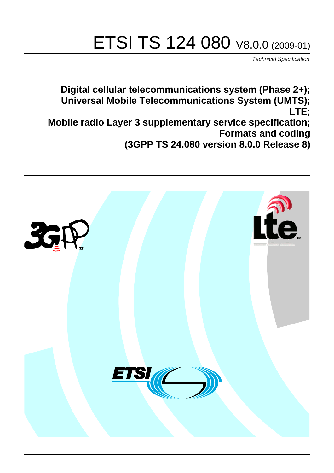# ETSI TS 124 080 V8.0.0 (2009-01)

*Technical Specification*

**Digital cellular telecommunications system (Phase 2+); Universal Mobile Telecommunications System (UMTS); LTE; Mobile radio Layer 3 supplementary service specification; Formats and coding (3GPP TS 24.080 version 8.0.0 Release 8)**

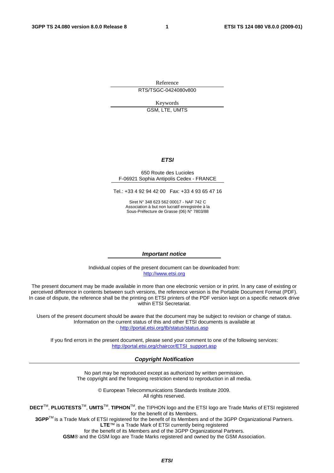Reference

RTS/TSGC-0424080v800

Keywords GSM, LTE, UMTS

#### *ETSI*

#### 650 Route des Lucioles F-06921 Sophia Antipolis Cedex - FRANCE

Tel.: +33 4 92 94 42 00 Fax: +33 4 93 65 47 16

Siret N° 348 623 562 00017 - NAF 742 C Association à but non lucratif enregistrée à la Sous-Préfecture de Grasse (06) N° 7803/88

#### *Important notice*

Individual copies of the present document can be downloaded from: [http://www.etsi.org](http://www.etsi.org/)

The present document may be made available in more than one electronic version or in print. In any case of existing or perceived difference in contents between such versions, the reference version is the Portable Document Format (PDF). In case of dispute, the reference shall be the printing on ETSI printers of the PDF version kept on a specific network drive within ETSI Secretariat.

Users of the present document should be aware that the document may be subject to revision or change of status. Information on the current status of this and other ETSI documents is available at <http://portal.etsi.org/tb/status/status.asp>

If you find errors in the present document, please send your comment to one of the following services: [http://portal.etsi.org/chaircor/ETSI\\_support.asp](http://portal.etsi.org/chaircor/ETSI_support.asp)

#### *Copyright Notification*

No part may be reproduced except as authorized by written permission. The copyright and the foregoing restriction extend to reproduction in all media.

> © European Telecommunications Standards Institute 2009. All rights reserved.

**DECT**TM, **PLUGTESTS**TM, **UMTS**TM, **TIPHON**TM, the TIPHON logo and the ETSI logo are Trade Marks of ETSI registered for the benefit of its Members.

**3GPP**TM is a Trade Mark of ETSI registered for the benefit of its Members and of the 3GPP Organizational Partners. **LTE**™ is a Trade Mark of ETSI currently being registered

for the benefit of its Members and of the 3GPP Organizational Partners.

**GSM**® and the GSM logo are Trade Marks registered and owned by the GSM Association.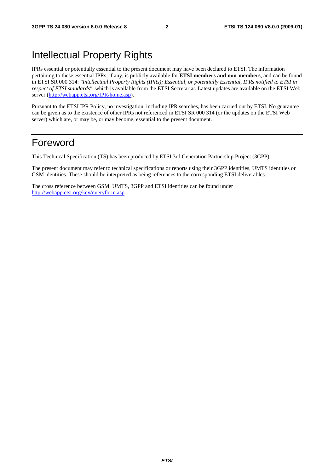### Intellectual Property Rights

IPRs essential or potentially essential to the present document may have been declared to ETSI. The information pertaining to these essential IPRs, if any, is publicly available for **ETSI members and non-members**, and can be found in ETSI SR 000 314: *"Intellectual Property Rights (IPRs); Essential, or potentially Essential, IPRs notified to ETSI in respect of ETSI standards"*, which is available from the ETSI Secretariat. Latest updates are available on the ETSI Web server [\(http://webapp.etsi.org/IPR/home.asp\)](http://webapp.etsi.org/IPR/home.asp).

Pursuant to the ETSI IPR Policy, no investigation, including IPR searches, has been carried out by ETSI. No guarantee can be given as to the existence of other IPRs not referenced in ETSI SR 000 314 (or the updates on the ETSI Web server) which are, or may be, or may become, essential to the present document.

### Foreword

This Technical Specification (TS) has been produced by ETSI 3rd Generation Partnership Project (3GPP).

The present document may refer to technical specifications or reports using their 3GPP identities, UMTS identities or GSM identities. These should be interpreted as being references to the corresponding ETSI deliverables.

The cross reference between GSM, UMTS, 3GPP and ETSI identities can be found under [http://webapp.etsi.org/key/queryform.asp.](http://webapp.etsi.org/key/queryform.asp)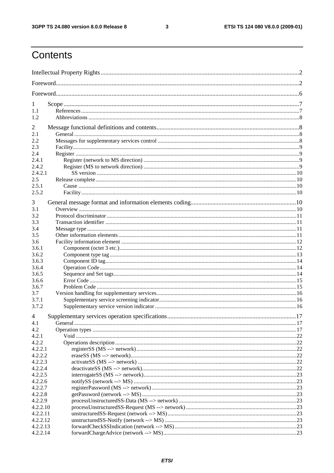$\mathbf{3}$ 

## Contents

| 1              |  |  |  |
|----------------|--|--|--|
| 1.1            |  |  |  |
| 1.2            |  |  |  |
|                |  |  |  |
| 2              |  |  |  |
| 2.1            |  |  |  |
| 2.2            |  |  |  |
| 2.3            |  |  |  |
| 2.4            |  |  |  |
| 2.4.1<br>2.4.2 |  |  |  |
| 2.4.2.1        |  |  |  |
| 2.5            |  |  |  |
| 2.5.1          |  |  |  |
| 2.5.2          |  |  |  |
|                |  |  |  |
| 3              |  |  |  |
| 3.1            |  |  |  |
| 3.2            |  |  |  |
| 3.3            |  |  |  |
| 3.4            |  |  |  |
| 3.5            |  |  |  |
| 3.6            |  |  |  |
| 3.6.1          |  |  |  |
| 3.6.2          |  |  |  |
| 3.6.3          |  |  |  |
| 3.6.4          |  |  |  |
| 3.6.5          |  |  |  |
| 3.6.6          |  |  |  |
| 3.6.7          |  |  |  |
| 3.7            |  |  |  |
| 3.7.1<br>3.7.2 |  |  |  |
|                |  |  |  |
| 4              |  |  |  |
| 4.1            |  |  |  |
| 4.2            |  |  |  |
| 4.2.1<br>4.2.2 |  |  |  |
| 4.2.2.1        |  |  |  |
| 4.2.2.2        |  |  |  |
| 4.2.2.3        |  |  |  |
| 4.2.2.4        |  |  |  |
| 4.2.2.5        |  |  |  |
| 4.2.2.6        |  |  |  |
| 4.2.2.7        |  |  |  |
| 4.2.2.8        |  |  |  |
| 4.2.2.9        |  |  |  |
| 4.2.2.10       |  |  |  |
| 4.2.2.11       |  |  |  |
| 4.2.2.12       |  |  |  |
| 4.2.2.13       |  |  |  |
| 4.2.2.14       |  |  |  |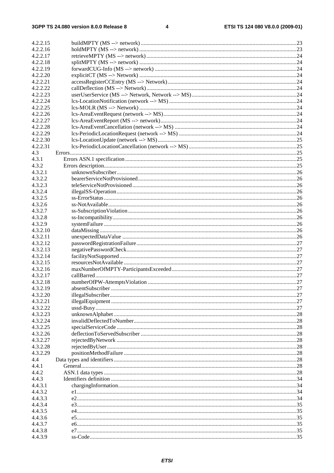| 4.2.2.15             |     |
|----------------------|-----|
| 4.2.2.16             |     |
| 4.2.2.17             |     |
| 4.2.2.18             |     |
| 4.2.2.19             |     |
| 4.2.2.20             |     |
| 4.2.2.21             |     |
| 4.2.2.22             |     |
| 4.2.2.23             |     |
| 4.2.2.24             |     |
|                      |     |
| 4.2.2.25<br>4.2.2.26 |     |
|                      |     |
| 4.2.2.27             |     |
| 4.2.2.28             |     |
| 4.2.2.29             |     |
| 4.2.2.30             |     |
| 4.2.2.31             |     |
| 4.3                  |     |
| 4.3.1                |     |
| 4.3.2                |     |
| 4.3.2.1              |     |
| 4.3.2.2              |     |
| 4.3.2.3              |     |
| 4.3.2.4              |     |
| 4.3.2.5              |     |
| 4.3.2.6              |     |
| 4.3.2.7              |     |
| 4.3.2.8              |     |
| 4.3.2.9              |     |
| 4.3.2.10             |     |
| 4.3.2.11             |     |
| 4.3.2.12             |     |
| 4.3.2.13             |     |
| 4.3.2.14             |     |
| 4.3.2.15             |     |
| 4.3.2.16             |     |
| 4.3.2.17             |     |
| 4.3.2.18             |     |
| 4.3.2.19             |     |
| 4.3.2.20             |     |
| 4.3.2.21             |     |
| 4.3.2.22             |     |
| 4.3.2.23             |     |
| 4.3.2.24             |     |
| 4.3.2.25             |     |
| 4.3.2.26             |     |
| 4.3.2.27             |     |
| 4.3.2.28             |     |
| 4.3.2.29             |     |
| 4.4                  |     |
| 4.4.1                | .28 |
|                      |     |
| 4.4.2                | .28 |
| 4.4.3                |     |
| 4.4.3.1              |     |
| 4.4.3.2              |     |
| 4.4.3.3              |     |
| 4.4.3.4              |     |
| 4.4.3.5              |     |
| 4.4.3.6              |     |
| 4.4.3.7              |     |
| 4.4.3.8              |     |
| 4.4.3.9              |     |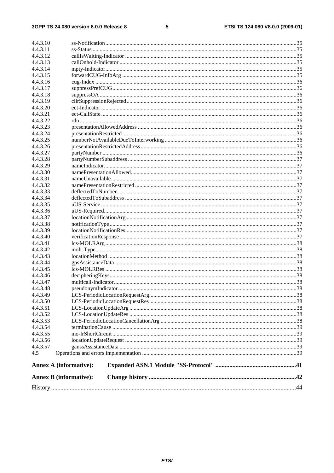#### $\overline{\mathbf{5}}$

|                      | <b>Annex B</b> (informative): |  |
|----------------------|-------------------------------|--|
|                      | <b>Annex A (informative):</b> |  |
| 4.5                  |                               |  |
| 4.4.3.57             |                               |  |
| 4.4.3.56             |                               |  |
| 4.4.3.55             |                               |  |
| 4.4.3.54             |                               |  |
| 4.4.3.53             |                               |  |
| 4.4.3.52             |                               |  |
| 4.4.3.51             |                               |  |
| 4.4.3.50             |                               |  |
| 4.4.3.49             |                               |  |
| 4.4.3.48             |                               |  |
| 4.4.3.47             |                               |  |
| 4.4.3.46             |                               |  |
| 4.4.3.45             |                               |  |
| 4.4.3.44             |                               |  |
| 4.4.3.43             |                               |  |
| 4.4.3.42             |                               |  |
| 4.4.3.41             |                               |  |
|                      |                               |  |
| 4.4.3.39<br>4.4.3.40 |                               |  |
| 4.4.3.38             |                               |  |
| 4.4.3.37             |                               |  |
| 4.4.3.36             |                               |  |
| 4.4.3.35             |                               |  |
| 4.4.3.34             |                               |  |
| 4.4.3.33             |                               |  |
| 4.4.3.32             |                               |  |
| 4.4.3.31             |                               |  |
| 4.4.3.30             |                               |  |
| 4.4.3.29             |                               |  |
| 4.4.3.28             |                               |  |
|                      |                               |  |
| 4.4.3.27             |                               |  |
| 4.4.3.26             |                               |  |
| 4.4.3.25             |                               |  |
| 4.4.3.24             |                               |  |
| 4.4.3.23             |                               |  |
| 4.4.3.22             |                               |  |
| 4.4.3.21             |                               |  |
| 4.4.3.20             |                               |  |
| 4.4.3.19             |                               |  |
| 4.4.3.18             |                               |  |
| 4.4.3.17             |                               |  |
| 4.4.3.16             |                               |  |
| 4.4.3.15             |                               |  |
| 4.4.3.14             |                               |  |
| 4.4.3.13             |                               |  |
| 4.4.3.12             |                               |  |
| 4.4.3.11             |                               |  |
| 4.4.3.10             |                               |  |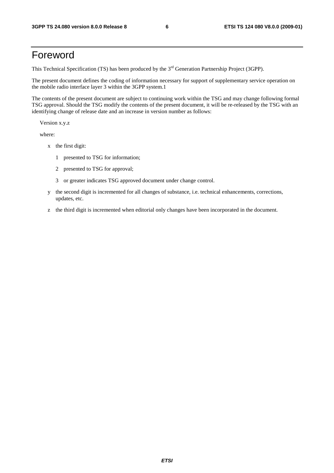### Foreword

This Technical Specification (TS) has been produced by the 3<sup>rd</sup> Generation Partnership Project (3GPP).

The present document defines the coding of information necessary for support of supplementary service operation on the mobile radio interface layer 3 within the 3GPP system.1

The contents of the present document are subject to continuing work within the TSG and may change following formal TSG approval. Should the TSG modify the contents of the present document, it will be re-released by the TSG with an identifying change of release date and an increase in version number as follows:

Version x.y.z

where:

- x the first digit:
	- 1 presented to TSG for information;
	- 2 presented to TSG for approval;
	- 3 or greater indicates TSG approved document under change control.
- y the second digit is incremented for all changes of substance, i.e. technical enhancements, corrections, updates, etc.
- z the third digit is incremented when editorial only changes have been incorporated in the document.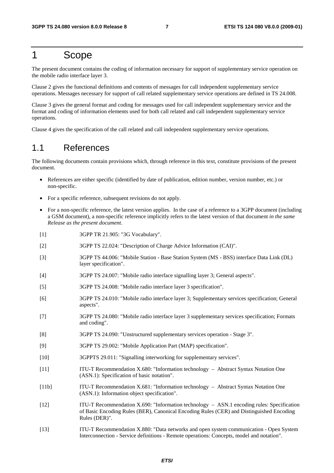### 1 Scope

The present document contains the coding of information necessary for support of supplementary service operation on the mobile radio interface layer 3.

Clause 2 gives the functional definitions and contents of messages for call independent supplementary service operations. Messages necessary for support of call related supplementary service operations are defined in TS 24.008.

Clause 3 gives the general format and coding for messages used for call independent supplementary service and the format and coding of information elements used for both call related and call independent supplementary service operations.

Clause 4 gives the specification of the call related and call independent supplementary service operations.

### 1.1 References

The following documents contain provisions which, through reference in this text, constitute provisions of the present document.

- References are either specific (identified by date of publication, edition number, version number, etc.) or non-specific.
- For a specific reference, subsequent revisions do not apply.
- For a non-specific reference, the latest version applies. In the case of a reference to a 3GPP document (including a GSM document), a non-specific reference implicitly refers to the latest version of that document *in the same Release as the present document*.
- [1] 3GPP TR 21.905: "3G Vocabulary".
- [2] 3GPP TS 22.024: "Description of Charge Advice Information (CAI)".
- [3] 3GPP TS 44.006: "Mobile Station Base Station System (MS BSS) interface Data Link (DL) layer specification".
- [4] 3GPP TS 24.007: "Mobile radio interface signalling layer 3; General aspects".
- [5] 3GPP TS 24.008: "Mobile radio interface layer 3 specification".
- [6] 3GPP TS 24.010: "Mobile radio interface layer 3; Supplementary services specification; General aspects".
- [7] 3GPP TS 24.080: "Mobile radio interface layer 3 supplementary services specification; Formats and coding".
- [8] 3GPP TS 24.090: "Unstructured supplementary services operation Stage 3".
- [9] 3GPP TS 29.002: "Mobile Application Part (MAP) specification".
- [10] 3GPPTS 29.011: "Signalling interworking for supplementary services".
- [11] ITU-T Recommendation X.680: "Information technology Abstract Syntax Notation One (ASN.1): Specification of basic notation".
- [11b] ITU-T Recommendation X.681: "Information technology Abstract Syntax Notation One (ASN.1): Information object specification".
- [12] ITU-T Recommendation X.690: "Information technology ASN.1 encoding rules: Specification of Basic Encoding Rules (BER), Canonical Encoding Rules (CER) and Distinguished Encoding Rules (DER)".
- [13] ITU-T Recommendation X.880: "Data networks and open system communication Open System Interconnection - Service definitions - Remote operations: Concepts, model and notation".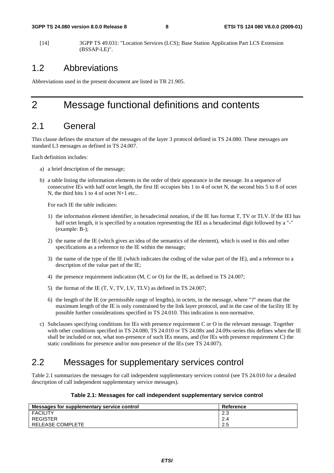[14] 3GPP TS 49.031: "Location Services (LCS); Base Station Application Part LCS Extension (BSSAP-LE)".

### 1.2 Abbreviations

Abbreviations used in the present document are listed in TR 21.905.

### 2 Message functional definitions and contents

### 2.1 General

This clause defines the structure of the messages of the layer 3 protocol defined in TS 24.080. These messages are standard L3 messages as defined in TS 24.007.

Each definition includes:

- a) a brief description of the message;
- b) a table listing the information elements in the order of their appearance in the message. In a sequence of consecutive IEs with half octet length, the first IE occupies bits 1 to 4 of octet N, the second bits 5 to 8 of octet N, the third bits 1 to 4 of octet N+1 etc..

For each IE the table indicates:

- 1) the information element identifier, in hexadecimal notation, if the IE has format T, TV or TLV. If the IEI has half octet length, it is specified by a notation representing the IEI as a hexadecimal digit followed by a "-" (example: B-);
- 2) the name of the IE (which gives an idea of the semantics of the element), which is used in this and other specifications as a reference to the IE within the message;
- 3) the name of the type of the IE (which indicates the coding of the value part of the IE), and a reference to a description of the value part of the IE;
- 4) the presence requirement indication (M, C or O) for the IE, as defined in TS 24.007;
- 5) the format of the IE (T, V, TV, LV, TLV) as defined in TS 24.007;
- 6) the length of the IE (or permissible range of lengths), in octets, in the message, where "?" means that the maximum length of the IE is only constrained by the link layer protocol, and in the case of the facility IE by possible further considerations specified in TS 24.010. This indication is non-normative.
- c) Subclauses specifying conditions for IEs with presence requirement C or O in the relevant message. Together with other conditions specified in TS 24.080, TS 24.010 or TS 24.08x and 24.09x-series this defines when the IE shall be included or not, what non-presence of such IEs means, and (for IEs with presence requirement C) the static conditions for presence and/or non-presence of the IEs (see TS 24.007).

### 2.2 Messages for supplementary services control

Table 2.1 summarizes the messages for call independent supplementary services control (see TS 24.010 for a detailed description of call independent supplementary service messages).

| Table 2.1: Messages for call independent supplementary service control |  |  |  |
|------------------------------------------------------------------------|--|--|--|
|------------------------------------------------------------------------|--|--|--|

| Messages for supplementary service control | Reference |
|--------------------------------------------|-----------|
| <b>FACILITY</b>                            | 2.3       |
| <b>REGISTER</b>                            | 2.4       |
| RELEASE COMPLETE                           | 2.5       |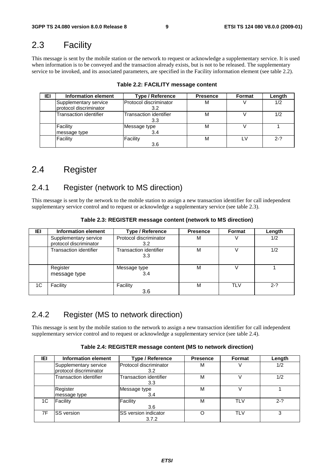### 2.3 Facility

This message is sent by the mobile station or the network to request or acknowledge a supplementary service. It is used when information is to be conveyed and the transaction already exists, but is not to be released. The supplementary service to be invoked, and its associated parameters, are specified in the Facility information element (see table 2.2).

| IEI | Information element                             | <b>Type / Reference</b>       | <b>Presence</b> | Format | Length  |
|-----|-------------------------------------------------|-------------------------------|-----------------|--------|---------|
|     | Supplementary service<br>protocol discriminator | Protocol discriminator<br>3.2 | М               |        | 1/2     |
|     | Transaction identifier                          | Transaction identifier<br>3.3 | M               |        | 1/2     |
|     | Facility<br>message type                        | Message type<br>3.4           | м               |        |         |
|     | Facility                                        | Facility<br>3.6               | М               | LV     | $2 - ?$ |

|  |  |  |  | Table 2.2: FACILITY message content |  |
|--|--|--|--|-------------------------------------|--|
|--|--|--|--|-------------------------------------|--|

### 2.4 Register

### 2.4.1 Register (network to MS direction)

This message is sent by the network to the mobile station to assign a new transaction identifier for call independent supplementary service control and to request or acknowledge a supplementary service (see table 2.3).

| IEI | Information element      | <b>Type / Reference</b>       | <b>Presence</b> | Format     | Length  |
|-----|--------------------------|-------------------------------|-----------------|------------|---------|
|     | Supplementary service    | Protocol discriminator        | M               |            | 1/2     |
|     | protocol discriminator   | 3.2                           |                 |            |         |
|     | Transaction identifier   | Transaction identifier<br>3.3 | М               |            | 1/2     |
|     | Register<br>message type | Message type<br>3.4           | М               |            |         |
| 1C  | Facility                 | Facility<br>3.6               | M               | <b>TLV</b> | $2 - ?$ |

**Table 2.3: REGISTER message content (network to MS direction)** 

### 2.4.2 Register (MS to network direction)

This message is sent by the mobile station to the network to assign a new transaction identifier for call independent supplementary service control and to request or acknowledge a supplementary service (see table 2.4).

| Table 2.4: REGISTER message content (MS to network direction) |  |
|---------------------------------------------------------------|--|
|---------------------------------------------------------------|--|

| IEI | <b>Information element</b> | Type / Reference                     | <b>Presence</b> | Format     | Length  |
|-----|----------------------------|--------------------------------------|-----------------|------------|---------|
|     | Supplementary service      | Protocol discriminator               | м               |            | 1/2     |
|     | protocol discriminator     | 3.2                                  |                 |            |         |
|     | Transaction identifier     | <b>Transaction identifier</b><br>3.3 | м               |            | 1/2     |
|     | Register                   | Message type                         | м               |            |         |
|     | message type               | 3.4                                  |                 |            |         |
| 1C  | Facility                   | Facility                             | М               | <b>TLV</b> | $2 - ?$ |
|     |                            | 3.6                                  |                 |            |         |
| 7F  | <b>SS</b> version          | SS version indicator                 |                 | <b>TLV</b> |         |
|     |                            | 3.7.2                                |                 |            |         |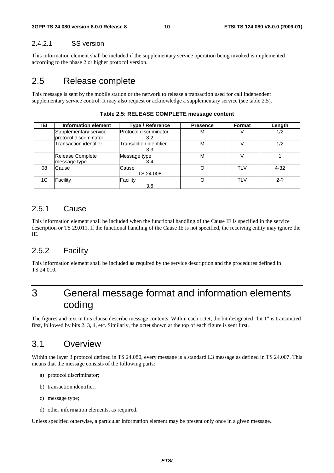#### 2.4.2.1 SS version

This information element shall be included if the supplementary service operation being invoked is implemented according to the phase 2 or higher protocol version.

### 2.5 Release complete

This message is sent by the mobile station or the network to release a transaction used for call independent supplementary service control. It may also request or acknowledge a supplementary service (see table 2.5).

| IEI | Information element                             | <b>Type / Reference</b>       | <b>Presence</b> | <b>Format</b> | Length   |
|-----|-------------------------------------------------|-------------------------------|-----------------|---------------|----------|
|     | Supplementary service<br>protocol discriminator | Protocol discriminator<br>3.2 | м               |               | 1/2      |
|     | Transaction identifier                          | Transaction identifier<br>3.3 | м               |               | 1/2      |
|     | <b>Release Complete</b><br>message type         | Message type<br>3.4           | м               |               |          |
| 08  | Cause                                           | Cause<br>TS 24.008            |                 | <b>TLV</b>    | $4 - 32$ |
| 1C  | Facility                                        | Facility<br>3.6               |                 | <b>TLV</b>    | $2-?$    |

#### **Table 2.5: RELEASE COMPLETE message content**

#### 2.5.1 Cause

This information element shall be included when the functional handling of the Cause IE is specified in the service description or TS 29.011. If the functional handling of the Cause IE is not specified, the receiving entity may ignore the IE.

#### 2.5.2 Facility

This information element shall be included as required by the service description and the procedures defined in TS 24.010.

### 3 General message format and information elements coding

The figures and text in this clause describe message contents. Within each octet, the bit designated "bit 1" is transmitted first, followed by bits 2, 3, 4, etc. Similarly, the octet shown at the top of each figure is sent first.

### 3.1 Overview

Within the layer 3 protocol defined in TS 24.080, every message is a standard L3 message as defined in TS 24.007. This means that the message consists of the following parts:

- a) protocol discriminator;
- b) transaction identifier;
- c) message type;
- d) other information elements, as required.

Unless specified otherwise, a particular information element may be present only once in a given message.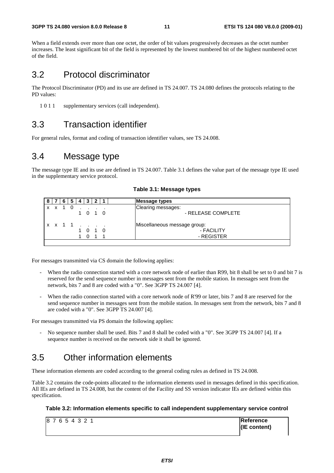#### **3GPP TS 24.080 version 8.0.0 Release 8 11 ETSI TS 124 080 V8.0.0 (2009-01)**

When a field extends over more than one octet, the order of bit values progressively decreases as the octet number increases. The least significant bit of the field is represented by the lowest numbered bit of the highest numbered octet of the field.

### 3.2 Protocol discriminator

The Protocol Discriminator (PD) and its use are defined in TS 24.007. TS 24.080 defines the protocols relating to the PD values:

1 0 1 1 supplementary services (call independent).

### 3.3 Transaction identifier

For general rules, format and coding of transaction identifier values, see TS 24.008.

### 3.4 Message type

The message type IE and its use are defined in TS 24.007. Table 3.1 defines the value part of the message type IE used in the supplementary service protocol.

|               | 6 | -5 | I 4. | 3 I |         | <b>Message types</b>         |
|---------------|---|----|------|-----|---------|------------------------------|
| $x \times 10$ |   |    |      |     |         | Clearing messages:           |
|               |   |    |      |     | 1 0 1 0 | - RELEASE COMPLETE           |
| x x 1 1       |   |    |      |     |         | Miscellaneous message group: |
|               |   |    |      |     | 1 0 1 0 | - FACILITY                   |
|               |   |    |      |     | 0 1 1   | - REGISTER                   |
|               |   |    |      |     |         |                              |

For messages transmitted via CS domain the following applies:

- When the radio connection started with a core network node of earlier than R99, bit 8 shall be set to 0 and bit 7 is reserved for the send sequence number in messages sent from the mobile station. In messages sent from the network, bits 7 and 8 are coded with a "0". See 3GPP TS 24.007 [4].
- When the radio connection started with a core network node of R'99 or later, bits 7 and 8 are reserved for the send sequence number in messages sent from the mobile station. In messages sent from the network, bits 7 and 8 are coded with a "0". See 3GPP TS 24.007 [4].

For messages transmitted via PS domain the following applies:

No sequence number shall be used. Bits 7 and 8 shall be coded with a "0". See 3GPP TS 24.007 [4]. If a sequence number is received on the network side it shall be ignored.

### 3.5 Other information elements

These information elements are coded according to the general coding rules as defined in TS 24.008.

Table 3.2 contains the code-points allocated to the information elements used in messages defined in this specification. All IEs are defined in TS 24.008, but the content of the Facility and SS version indicator IEs are defined within this specification.

#### **Table 3.2: Information elements specific to call independent supplementary service control**

| 87654321 | <b>IReference</b> |
|----------|-------------------|
|          | $ $ (IE content)  |
|          |                   |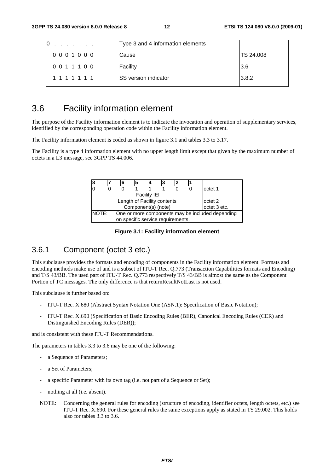| 10<br>and a state of the state of the | Type 3 and 4 information elements |                  |
|---------------------------------------|-----------------------------------|------------------|
| 0001000                               | Cause                             | <b>TS 24.008</b> |
| 0011100                               | Facility                          | 3.6              |
| 1 1 1 1 1 1 1                         | SS version indicator              | 3.8.2            |

### 3.6 Facility information element

The purpose of the Facility information element is to indicate the invocation and operation of supplementary services, identified by the corresponding operation code within the Facility information element.

The Facility information element is coded as shown in figure 3.1 and tables 3.3 to 3.17.

The Facility is a type 4 information element with no upper length limit except that given by the maximum number of octets in a L3 message, see 3GPP TS 44.006.

|                                                                                                | 6 | 5 |  |  |  |  |         |  |
|------------------------------------------------------------------------------------------------|---|---|--|--|--|--|---------|--|
|                                                                                                |   |   |  |  |  |  | octet 1 |  |
| <b>Facility IEI</b>                                                                            |   |   |  |  |  |  |         |  |
| Length of Facility contents<br>octet 2                                                         |   |   |  |  |  |  |         |  |
| Component(s) (note)<br>octet 3 etc.                                                            |   |   |  |  |  |  |         |  |
| NOTE:<br>One or more components may be included depending<br>on specific service requirements. |   |   |  |  |  |  |         |  |

#### **Figure 3.1: Facility information element**

#### 3.6.1 Component (octet 3 etc.)

This subclause provides the formats and encoding of components in the Facility information element. Formats and encoding methods make use of and is a subset of ITU-T Rec. Q.773 (Transaction Capabilities formats and Encoding) and T/S 43/BB. The used part of ITU-T Rec. Q.773 respectively T/S 43/BB is almost the same as the Component Portion of TC messages. The only difference is that returnResultNotLast is not used.

This subclause is further based on:

- ITU-T Rec. X.680 (Abstract Syntax Notation One (ASN.1): Specification of Basic Notation);
- ITU-T Rec. X.690 (Specification of Basic Encoding Rules (BER), Canonical Encoding Rules (CER) and Distinguished Encoding Rules (DER));

and is consistent with these ITU-T Recommendations.

The parameters in tables 3.3 to 3.6 may be one of the following:

- a Sequence of Parameters;
- a Set of Parameters;
- a specific Parameter with its own tag (i.e. not part of a Sequence or Set);
- nothing at all (i.e. absent).
- NOTE: Concerning the general rules for encoding (structure of encoding, identifier octets, length octets, etc.) see ITU-T Rec. X.690. For these general rules the same exceptions apply as stated in TS 29.002. This holds also for tables 3.3 to 3.6.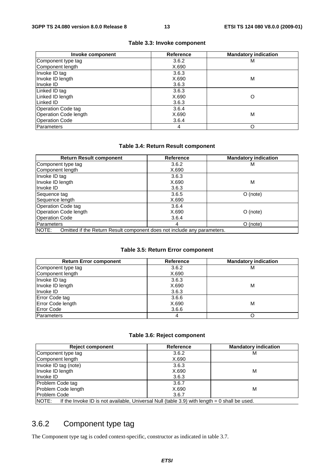| Invoke component      | Reference | <b>Mandatory indication</b> |
|-----------------------|-----------|-----------------------------|
| Component type tag    | 3.6.2     | м                           |
| Component length      | X.690     |                             |
| Invoke ID tag         | 3.6.3     |                             |
| Invoke ID length      | X.690     | M                           |
| Invoke ID             | 3.6.3     |                             |
| Linked ID tag         | 3.6.3     |                             |
| Linked ID length      | X.690     | Ω                           |
| Linked ID             | 3.6.3     |                             |
| Operation Code tag    | 3.6.4     |                             |
| Operation Code length | X.690     | M                           |
| <b>Operation Code</b> | 3.6.4     |                             |
| Parameters            | 4         | O                           |

#### **Table 3.3: Invoke component**

#### **Table 3.4: Return Result component**

| <b>Return Result component</b>                                                   | Reference | <b>Mandatory indication</b> |  |
|----------------------------------------------------------------------------------|-----------|-----------------------------|--|
| Component type tag                                                               | 3.6.2     | м                           |  |
| Component length                                                                 | X.690     |                             |  |
| Invoke ID tag                                                                    | 3.6.3     |                             |  |
| Invoke ID length                                                                 | X.690     | M                           |  |
| Invoke ID                                                                        | 3.6.3     |                             |  |
| Sequence tag                                                                     | 3.6.5     | $O$ (note)                  |  |
| Sequence length                                                                  | X.690     |                             |  |
| Operation Code tag                                                               | 3.6.4     |                             |  |
| Operation Code length                                                            | X.690     | $O$ (note)                  |  |
| Operation Code                                                                   | 3.6.4     |                             |  |
| Parameters                                                                       | 4         | $O$ (note)                  |  |
| NOTE:<br>Omitted if the Return Result component does not include any parameters. |           |                             |  |

#### **Table 3.5: Return Error component**

| <b>Return Error component</b> | Reference | <b>Mandatory indication</b> |
|-------------------------------|-----------|-----------------------------|
| Component type tag            | 3.6.2     | м                           |
| Component length              | X.690     |                             |
| Invoke ID tag                 | 3.6.3     |                             |
| Invoke ID length              | X.690     | M                           |
| Invoke ID                     | 3.6.3     |                             |
| Error Code tag                | 3.6.6     |                             |
| Error Code length             | X.690     | M                           |
| <b>Error Code</b>             | 3.6.6     |                             |
| Parameters                    | 4         |                             |

#### **Table 3.6: Reject component**

| <b>Reject component</b>                                                                                  | <b>Reference</b> | <b>Mandatory indication</b> |
|----------------------------------------------------------------------------------------------------------|------------------|-----------------------------|
| Component type tag                                                                                       | 3.6.2            | м                           |
| Component length                                                                                         | X.690            |                             |
| Invoke ID tag (note)                                                                                     | 3.6.3            |                             |
| Invoke ID length                                                                                         | X.690            | М                           |
| Invoke ID                                                                                                | 3.6.3            |                             |
| Problem Code tag                                                                                         | 3.6.7            |                             |
| Problem Code length                                                                                      | X.690            | М                           |
| <b>Problem Code</b>                                                                                      | 3.6.7            |                             |
| INOTE:<br>If the Invoke ID is not available, Universal Null (table 3.9) with length $= 0$ shall be used. |                  |                             |

### 3.6.2 Component type tag

The Component type tag is coded context-specific, constructor as indicated in table 3.7.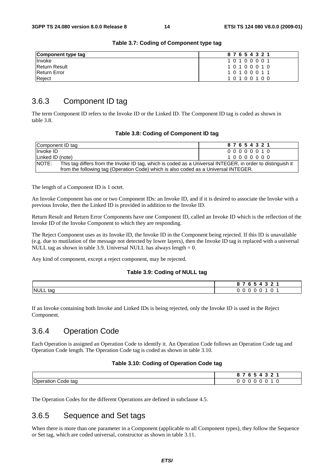| Component type tag   | 87654321 |
|----------------------|----------|
| Invoke               | 10100001 |
| <b>Return Result</b> | 10100010 |
| <b>Return Error</b>  | 10100011 |
| Reject               | 10100100 |

#### **Table 3.7: Coding of Component type tag**

### 3.6.3 Component ID tag

The term Component ID refers to the Invoke ID or the Linked ID. The Component ID tag is coded as shown in table 3.8.

#### **Table 3.8: Coding of Component ID tag**

| Component ID tag                                                                                                    | 87654321 |  |  |  |
|---------------------------------------------------------------------------------------------------------------------|----------|--|--|--|
| Invoke ID                                                                                                           | 00000010 |  |  |  |
| Linked ID (note)                                                                                                    | 10000000 |  |  |  |
| NOTE:<br>This tag differs from the Invoke ID tag, which is coded as a Universal INTEGER, in order to distinguish it |          |  |  |  |
| from the following tag (Operation Code) which is also coded as a Universal INTEGER.                                 |          |  |  |  |

The length of a Component ID is 1 octet.

An Invoke Component has one or two Component IDs: an Invoke ID, and if it is desired to associate the Invoke with a previous Invoke, then the Linked ID is provided in addition to the Invoke ID.

Return Result and Return Error Components have one Component ID, called an Invoke ID which is the reflection of the Invoke ID of the Invoke Component to which they are responding.

The Reject Component uses as its Invoke ID, the Invoke ID in the Component being rejected. If this ID is unavailable (e.g. due to mutilation of the message not detected by lower layers), then the Invoke ID tag is replaced with a universal NULL tag as shown in table 3.9. Universal NULL has always length  $= 0$ .

Any kind of component, except a reject component, may be rejected.

#### **Table 3.9: Coding of NULL tag**

|               | __<br>$\sim$<br>$\sim$ $\sim$<br>$\mathbf{a}$<br>u |
|---------------|----------------------------------------------------|
| NULL tag<br>. | u                                                  |

If an Invoke containing both Invoke and Linked IDs is being rejected, only the Invoke ID is used in the Reject Component.

#### 3.6.4 Operation Code

Each Operation is assigned an Operation Code to identify it. An Operation Code follows an Operation Code tag and Operation Code length. The Operation Code tag is coded as shown in table 3.10.

#### **Table 3.10: Coding of Operation Code tag**

|                                                         | -<br>-<br>. .<br>u |
|---------------------------------------------------------|--------------------|
| $\sim$<br>tag<br>Doeration<br>`วde .<br>.,<br>~,<br>$-$ | u<br>. .           |

The Operation Codes for the different Operations are defined in subclause 4.5.

#### 3.6.5 Sequence and Set tags

When there is more than one parameter in a Component (applicable to all Component types), they follow the Sequence or Set tag, which are coded universal, constructor as shown in table 3.11.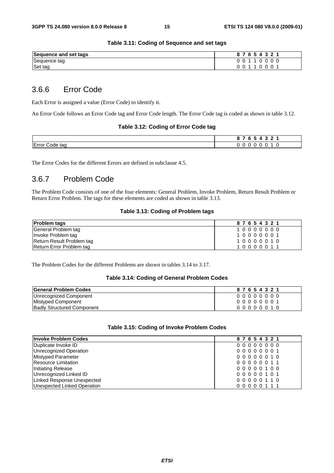#### **Table 3.11: Coding of Sequence and set tags**

| Sequence and set tags | $\sim$<br>ີ<br>-6 |
|-----------------------|-------------------|
| Sequence tag          |                   |
| Set tag               |                   |

#### 3.6.6 Error Code

Each Error is assigned a value (Error Code) to identify it.

An Error Code follows an Error Code tag and Error Code length. The Error Code tag is coded as shown in table 3.12.

#### **Table 3.12: Coding of Error Code tag**

|                            | $\mathbf{r}$<br>- - |
|----------------------------|---------------------|
| Error C<br>Code tag<br>. . | U J<br>. u<br>ື     |

The Error Codes for the different Errors are defined in subclause 4.5.

#### 3.6.7 Problem Code

The Problem Code consists of one of the four elements: General Problem, Invoke Problem, Return Result Problem or Return Error Problem. The tags for these elements are coded as shown in table 3.13.

#### **Table 3.13: Coding of Problem tags**

| <b>Problem tags</b>       | 87654321 |
|---------------------------|----------|
| General Problem tag       | 10000000 |
| Invoke Problem tag        | 10000001 |
| Return Result Problem tag | 10000010 |
| Return Error Problem tag  | 10000011 |

The Problem Codes for the different Problems are shown in tables 3.14 to 3.17.

#### **Table 3.14: Coding of General Problem Codes**

| <b>General Problem Codes</b>      | 87654321 |
|-----------------------------------|----------|
| Unrecognized Component            | 00000000 |
| Mistyped Component                | 00000001 |
| <b>Badly Structured Component</b> | 00000010 |

#### **Table 3.15: Coding of Invoke Problem Codes**

| <b>Invoke Problem Codes</b> | 87654321 |
|-----------------------------|----------|
| Duplicate Invoke ID         | 00000000 |
| Unrecognized Operation      | 00000001 |
| Mistyped Parameter          | 00000010 |
| Resource Limitation         | 00000011 |
| Initiating Release          | 00000100 |
| Unrecognized Linked ID      | 00000101 |
| Linked Response Unexpected  | 00000110 |
| Unexpected Linked Operation | 00000111 |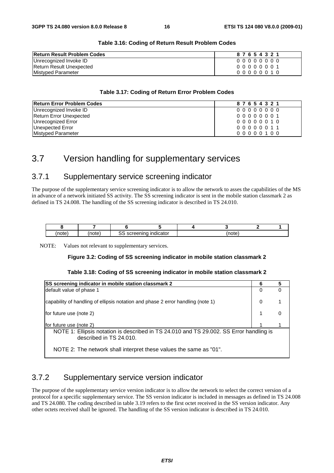| <b>Return Result Problem Codes</b> | 87654321 |
|------------------------------------|----------|
| Unrecognized Invoke ID             | 00000000 |
| Return Result Unexpected           | 00000001 |
| Mistyped Parameter                 | 00000010 |

#### **Table 3.16: Coding of Return Result Problem Codes**

#### **Table 3.17: Coding of Return Error Problem Codes**

| <b>Return Error Problem Codes</b> | 87654321 |
|-----------------------------------|----------|
| Unrecognized Invoke ID            | 00000000 |
| Return Error Unexpected           | 00000001 |
| Unrecognized Error                | 00000010 |
| <b>Unexpected Error</b>           | 00000011 |
| Mistyped Parameter                | 00000100 |

### 3.7 Version handling for supplementary services

#### 3.7.1 Supplementary service screening indicator

The purpose of the supplementary service screening indicator is to allow the network to asses the capabilities of the MS in advance of a network initiated SS activity. The SS screening indicator is sent in the mobile station classmark 2 as defined in TS 24.008. The handling of the SS screening indicator is described in TS 24.010.

| $-1$<br>זו | __<br>- | $- - -$<br>--<br>$\cdot$<br>псаю.<br>"<br> | 'n<br>$\cdots$ |  |
|------------|---------|--------------------------------------------|----------------|--|

NOTE: Values not relevant to supplementary services.

#### **Figure 3.2: Coding of SS screening indicator in mobile station classmark 2**

#### **Table 3.18: Coding of SS screening indicator in mobile station classmark 2**

| SS screening indicator in mobile station classmark 2                                                               | 6        | 5 |
|--------------------------------------------------------------------------------------------------------------------|----------|---|
| default value of phase 1                                                                                           | 0        | 0 |
| capability of handling of ellipsis notation and phase 2 error handling (note 1)                                    | $\Omega$ |   |
| for future use (note 2)                                                                                            |          | 0 |
| for future use (note 2)                                                                                            |          |   |
| NOTE 1: Ellipsis notation is described in TS 24.010 and TS 29.002. SS Error handling is<br>described in TS 24.010. |          |   |
| NOTE 2: The network shall interpret these values the same as "01".                                                 |          |   |

### 3.7.2 Supplementary service version indicator

The purpose of the supplementary service version indicator is to allow the network to select the correct version of a protocol for a specific supplementary service. The SS version indicator is included in messages as defined in TS 24.008 and TS 24.080. The coding described in table 3.19 refers to the first octet received in the SS version indicator. Any other octets received shall be ignored. The handling of the SS version indicator is described in TS 24.010.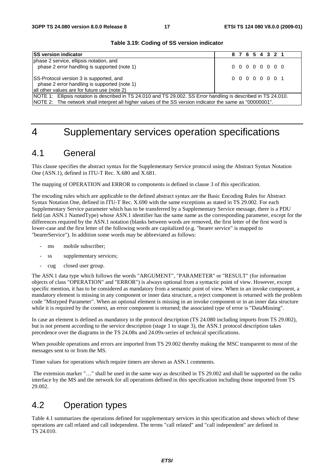| <b>ISS version indicator</b>                                                                                                                                                                                                 |  |  |  |  | 8 7 6 5 4 3 2 1 |  |  |
|------------------------------------------------------------------------------------------------------------------------------------------------------------------------------------------------------------------------------|--|--|--|--|-----------------|--|--|
| phase 2 service, ellipsis notation, and<br>phase 2 error handling is supported (note 1)                                                                                                                                      |  |  |  |  | 00000000        |  |  |
| SS-Protocol version 3 is supported, and<br>phase 2 error handling is supported (note 1)<br>all other values are for future use (note 2)                                                                                      |  |  |  |  | 0 0 0 0 0 0 0 1 |  |  |
| NOTE 1: Ellipsis notation is described in TS 24.010 and TS 29.002. SS Error handling is described in TS 24.010.<br>NOTE 2: The network shall interpret all higher values of the SS version indicator the same as "00000001". |  |  |  |  |                 |  |  |

#### **Table 3.19: Coding of SS version indicator**

### 4 Supplementary services operation specifications

### 4.1 General

This clause specifies the abstract syntax for the Supplementary Service protocol using the Abstract Syntax Notation One (ASN.1), defined in ITU-T Rec. X.680 and X.681.

The mapping of OPERATION and ERROR to components is defined in clause 3 of this specification.

The encoding rules which are applicable to the defined abstract syntax are the Basic Encoding Rules for Abstract Syntax Notation One, defined in ITU-T Rec. X.690 with the same exceptions as stated in TS 29.002. For each Supplementary Service parameter which has to be transferred by a Supplementary Service message, there is a PDU field (an ASN.1 NamedType) whose ASN.1 identifier has the same name as the corresponding parameter, except for the differences required by the ASN.1 notation (blanks between words are removed, the first letter of the first word is lower-case and the first letter of the following words are capitalized (e.g. "bearer service" is mapped to "bearerService"). In addition some words may be abbreviated as follows:

- ms mobile subscriber;
- ss supplementary services;
- cug closed user group.

The ASN.1 data type which follows the words "ARGUMENT", "PARAMETER" or "RESULT" (for information objects of class "OPERATION" and "ERROR") is always optional from a syntactic point of view. However, except specific mention, it has to be considered as mandatory from a semantic point of view. When in an invoke component, a mandatory element is missing in any component or inner data structure, a reject component is returned with the problem code "Mistyped Parameter". When an optional element is missing in an invoke component or in an inner data structure while it is required by the context, an error component is returned; the associated type of error is "DataMissing".

In case an element is defined as mandatory in the protocol description (TS 24.080 including imports from TS 29.002), but is not present according to the service description (stage 1 to stage 3), the ASN.1 protocol description takes precedence over the diagrams in the TS 24.08x and 24.09x-series of technical specifications.

When possible operations and errors are imported from TS 29.002 thereby making the MSC transparent to most of the messages sent to or from the MS.

Timer values for operations which require timers are shown as ASN.1 comments.

 The extension marker "…" shall be used in the same way as described in TS 29.002 and shall be supported on the radio interface by the MS and the network for all operations defined in this specification including those imported from TS 29.002.

### 4.2 Operation types

Table 4.1 summarizes the operations defined for supplementary services in this specification and shows which of these operations are call related and call independent. The terms "call related" and "call independent" are defined in TS 24.010.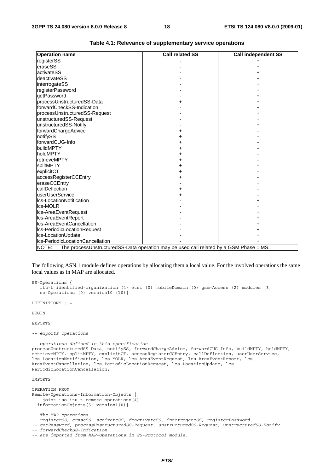| <b>Operation name</b>                                                                           | <b>Call related SS</b> | <b>Call independent SS</b> |  |  |  |
|-------------------------------------------------------------------------------------------------|------------------------|----------------------------|--|--|--|
| registerSS                                                                                      |                        |                            |  |  |  |
| eraseSS                                                                                         |                        | +                          |  |  |  |
| activateSS                                                                                      |                        |                            |  |  |  |
| deactivateSS                                                                                    |                        |                            |  |  |  |
| interrogateSS                                                                                   |                        |                            |  |  |  |
| registerPassword                                                                                |                        |                            |  |  |  |
| getPassword                                                                                     |                        |                            |  |  |  |
| processUnstructuredSS-Data                                                                      |                        |                            |  |  |  |
| forwardCheckSS-Indication                                                                       |                        |                            |  |  |  |
| processUnstructuredSS-Request                                                                   |                        |                            |  |  |  |
| unstructuredSS-Request                                                                          |                        |                            |  |  |  |
| unstructuredSS-Notify                                                                           |                        |                            |  |  |  |
| forwardChargeAdvice                                                                             |                        |                            |  |  |  |
| notifySS                                                                                        |                        |                            |  |  |  |
| forwardCUG-Info                                                                                 | ٠                      |                            |  |  |  |
| buildMPTY                                                                                       | +                      |                            |  |  |  |
| holdMPTY                                                                                        | +                      |                            |  |  |  |
| retrieveMPTY                                                                                    | +                      |                            |  |  |  |
| splitMPTY                                                                                       |                        |                            |  |  |  |
| explicitCT                                                                                      |                        |                            |  |  |  |
| accessRegisterCCEntry                                                                           |                        |                            |  |  |  |
| eraseCCEntry                                                                                    |                        |                            |  |  |  |
| callDeflection                                                                                  | +                      |                            |  |  |  |
| userUserService                                                                                 |                        |                            |  |  |  |
| Ics-LocationNotification                                                                        |                        |                            |  |  |  |
| Ics-MOLR                                                                                        |                        |                            |  |  |  |
| Ics-AreaEventRequest                                                                            |                        |                            |  |  |  |
| Ics-AreaEventReport                                                                             |                        |                            |  |  |  |
| Ics-AreaEventCancellation                                                                       |                        |                            |  |  |  |
| Ics-PeriodicLocationRequest                                                                     |                        |                            |  |  |  |
| Ics-LocationUpdate                                                                              |                        |                            |  |  |  |
| Ics-PeriodicLocationCancellation                                                                |                        |                            |  |  |  |
| NOTE:<br>The processUnstructuredSS-Data operation may be used call related by a GSM Phase 1 MS. |                        |                            |  |  |  |

| Table 4.1: Relevance of supplementary service operations |  |
|----------------------------------------------------------|--|
|                                                          |  |

The following ASN.1 module defines operations by allocating them a local value. For the involved operations the same local values as in MAP are allocated.

SS-Operations { itu-t identified-organization (4) etsi (0) mobileDomain (0) gsm-Access (2) modules (3) ss-Operations (0) version10 (10)}

DEFINITIONS ::=

BEGIN

EXPORTS

*-- exports operations* 

```
-- operations defined in this specification 
processUnstructuredSS-Data, notifySS, forwardChargeAdvice, forwardCUG-Info, buildMPTY, holdMPTY, 
retrieveMPTY, splitMPTY, explicitCT, accessRegisterCCEntry, callDeflection, userUserService, 
lcs-LocationNotification, lcs-MOLR, lcs-AreaEventRequest, lcs-AreaEventReport, lcs-
AreaEventCancellation, lcs-PeriodicLocationRequest, lcs-LocationUpdate, lcs-
PeriodicLocationCancellation;
```
IMPORTS

OPERATION FROM Remote-Operations-Information-Objects { joint-iso-itu-t remote-operations(4) informationObjects(5) version1(0)}

*-- The MAP operations:* 

*-- registerSS, eraseSS, activateSS, deactivateSS, interrogateSS, registerPassword,* 

*-- getPassword, processUnstructuredSS-Request, unstructuredSS-Request, unstructuredSS-Notify -- forwardCheckSS-Indication* 

*-- are imported from MAP-Operations in SS-Protocol module.*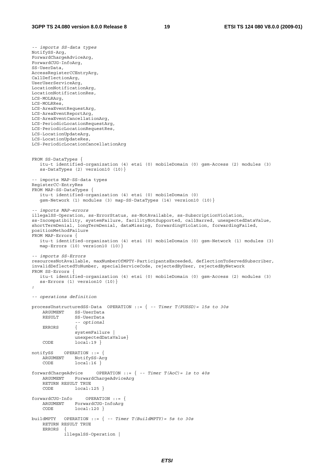*-- imports SS-data types*  NotifySS-Arg, ForwardChargeAdviceArg, ForwardCUG-InfoArg, SS-UserData, AccessRegisterCCEntryArg, CallDeflectionArg, UserUserServiceArg, LocationNotificationArg, LocationNotificationRes, LCS-MOLRArg, LCS-MOLRRes, LCS-AreaEventRequestArg, LCS-AreaEventReportArg, LCS-AreaEventCancellationArg, LCS-PeriodicLocationRequestArg, LCS-PeriodicLocationRequestRes, LCS-LocationUpdateArg, LCS-LocationUpdateRes, LCS-PeriodicLocationCancellationArg FROM SS-DataTypes { itu-t identified-organization (4) etsi (0) mobileDomain (0) gsm-Access (2) modules (3) ss-DataTypes (2) version10 (10)} -- imports MAP-SS-data types RegisterCC-EntryRes FROM MAP-SS-DataTypes { itu-t identified-organization (4) etsi (0) mobileDomain (0) gsm-Network (1) modules (3) map-SS-DataTypes (14) version10 (10)} *-- imports MAP-errors*  illegalSS-Operation, ss-ErrorStatus, ss-NotAvailable, ss-SubscriptionViolation, ss-Incompatibility, systemFailure, facilityNotSupported, callBarred, unexpectedDataValue, shortTermDenial, longTermDenial, dataMissing, forwardingViolation, forwardingFailed, positionMethodFailure FROM MAP-Errors { itu-t identified-organization (4) etsi (0) mobileDomain (0) gsm-Network (1) modules (3) map-Errors (10) version10 (10)} *-- imports SS-Errors*  resourcesNotAvailable, maxNumberOfMPTY-ParticipantsExceeded, deflectionToServedSubscriber, invalidDeflectedToNumber, specialServiceCode, rejectedByUser, rejectedByNetwork FROM SS-Errors { itu-t identified-organization (4) etsi (0) mobileDomain (0) gsm-Access (2) modules (3) ss-Errors (1) version10 (10)} ; *-- operations definition*  processUnstructuredSS-Data OPERATION ::= { *-- Timer T(PUSSD)= 15s to 30s*  ARGUMENT SS-UserData<br>RESULT SS-UserData SS-UserData  *-- optional* ERRORS { systemFailure | unexpectedDataValue} CODE local:19 } notifySS OPERATION ::= { ARGUMENT NotifySS-Arg<br>CODE local:16 }  $local:16$ } forwardChargeAdvice OPERATION ::= { *-- Timer T(AoC)= 1s to 40s* ARGUMENT ForwardChargeAdviceArg RETURN RESULT TRUE CODE local:125 } forwardCUG-Info OPERATION ::= { ARGUMENT ForwardCUG-InfoArg CODE local:120 } buildMPTY OPERATION ::= { *-- Timer T(BuildMPTY)= 5s to 30s* RETURN RESULT TRUE ERRORS { illegalSS-Operation |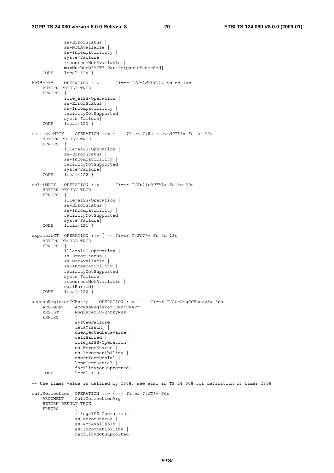ss-ErrorStatus | ss-NotAvailable | ss-Incompatibility | systemFailure | resourcesNotAvailable | maxNumberOfMPTY-ParticipantsExceeded}<br>CODE local:124 }  $local:124$ } holdMPTY OPERATION ::= { *-- Timer T(HoldMPTY)= 5s to 30s* RETURN RESULT TRUE ERRORS { illegalSS-Operation | ss-ErrorStatus | ss-Incompatibility | facilityNotSupported | systemFailure} CODE local:123 } retrieveMPTY OPERATION ::= { *-- Timer T(RetrieveMPTY)= 5s to 30s* RETURN RESULT TRUE ERRORS { illegalSS-Operation | ss-ErrorStatus | ss-Incompatibility | facilityNotSupported | systemFailure} CODE local:122 } splitMPTY OPERATION ::= { *-- Timer T(SplitMPTY)= 5s to 30s* RETURN RESULT TRUE **ERRORS**  illegalSS-Operation | ss-ErrorStatus | ss-Incompatibility | facilityNotSupported | systemFailure} CODE local:121 } explicitCT OPERATION ::= { *-- Timer T(ECT)= 5s to 15s* RETURN RESULT TRUE ERRORS { illegalSS-Operation | ss-ErrorStatus | ss-NotAvailable ss-Incompatibility | facilityNotSupported | systemFailure | resourcesNotAvailable | callBarred} CODE local:126 accessRegisterCCEntry OPERATION ::= { *-- Timer T(AccRegCCEntry)= 30s* ARGUMENT AccessRegisterCCEntryArg<br>PeqisterCC-EntryPes RegisterCC-EntryRes ERRORS { systemFailure | dataMissing | unexpectedDataValue | callBarred | illegalSS-Operation | ss-ErrorStatus ss-Incompatibility | shortTermDenial | longTermDenial | facilityNotSupported} CODE local:119 } -- the timer value is defined by T308, see also in TS 24.008 for definition of timer T308 callDeflection OPERATION ::= { *-- Timer T(CD)= 30s* ARGUMENT CallDeflectionArg RETURN RESULT TRUE **ERRORS**  illegalSS-Operation | ss-ErrorStatus | ss-NotAvailable | ss-Incompatibility | facilityNotSupported |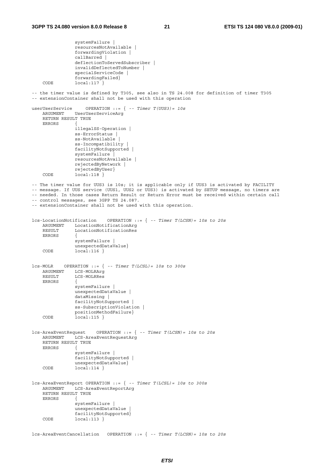```
 systemFailure | 
                  resourcesNotAvailable | 
                  forwardingViolation | 
                  callBarred | 
                  deflectionToServedSubscriber | 
                  invalidDeflectedToNumber | 
                  specialServiceCode | 
    forwardingFailed}<br>
CODE 10Cal:117 }
                 local:117}
-- the timer value is defined by T305, see also in TS 24.008 for definition of timer T305 
-- extensionContainer shall not be used with this operation 
userUserService OPERATION ::= { -- Timer T(UUS3)= 10s
     ARGUMENT UserUserServiceArg 
     RETURN RESULT TRUE 
     ERRORS { 
                  illegalSS-Operation | 
                  ss-ErrorStatus | 
                 ss-NotAvailable |
                  ss-Incompatibility | 
                  facilityNotSupported | 
                  systemFailure | 
                  resourcesNotAvailable | 
                  rejectedByNetwork | 
                  rejectedByUser} 
    CODE local:118 }
-- The timer value for UUS3 is 10s; it is applicable only if UUS3 is activated by FACILITY 
-- message. If UUS service (UUS1, UUS2 or UUS3) is activated by SETUP message, no timers are
-- needed. In those cases Return Result or Return Error must be received within certain call 
-- control messages, see 3GPP TS 24.087. 
-- extensionContainer shall not be used with this operation. 
lcs-LocationNotification OPERATION ::= { -- Timer T(LCSN)= 10s to 20s 
    ARGUMENT LocationNotificationArg<br>RESULT LocationNotificationRes
                 LocationNotificationRes
     ERRORS { 
                  systemFailure | 
    unexpectedDataValue}<br>CODE local:116 }
                 local:116 }
lcs-MOLR OPERATION ::= { -- Timer T(LCSL)= 10s to 300s 
     ARGUMENT LCS-MOLRArg 
     RESULT LCS-MOLRRes 
    ERRORS
                  systemFailure | 
                  unexpectedDataValue | 
                  dataMissing | 
                  facilityNotSupported | 
                  ss-SubscriptionViolation | 
    positionMethodFailure}<br>CODE local:115 }
                local:115 }
lcs-AreaEventRequest OPERATION ::= { -- Timer T(LCSN)= 10s to 20s 
     ARGUMENT LCS-AreaEventRequestArg 
     RETURN RESULT TRUE 
     ERRORS { 
                  systemFailure | 
                  facilityNotSupported | 
    unexpectedDataValue}<br>
\begin{array}{ccc}\n\text{Concl}\ 1 & 114\n\end{array}local:114 }
lcs-AreaEventReport OPERATION ::= { -- Timer T(LCSL)= 10s to 300s 
     ARGUMENT LCS-AreaEventReportArg 
     RETURN RESULT TRUE 
    ERRORS
                  systemFailure | 
                  unexpectedDataValue | 
                  facilityNotSupported} 
    CODE local:113 }
lcs-AreaEventCancellation OPERATION ::= { -- Timer T(LCSN)= 10s to 20s
```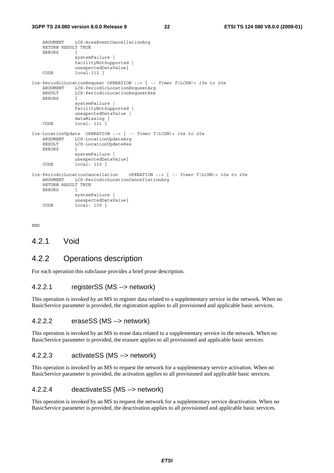```
 ARGUMENT LCS-AreaEventCancellationArg 
     RETURN RESULT TRUE 
    ERRORS
                   systemFailure | 
                   facilityNotSupported | 
    unexpectedDataValue}<br>
\begin{array}{ccc}\n\text{Congr} & 1 & 1 & 1 \\
\text{Congr} & 1 & 1 & 1\n\end{array}local:12}
lcs-PeriodicLocationRequest OPERATION ::= { -- Timer T(LCSN)= 10s to 20s 
     ARGUMENT LCS-PeriodicLocationRequestArg 
     RESULT LCS-PeriodicLocationRequestRes 
    ERRORS
                   systemFailure | 
                   facilityNotSupported | 
                   unexpectedDataValue | 
                   dataMissing } 
     CODE local: 111 } 
lcs-LocationUpdate OPERATION ::= { -- Timer T(LCSN)= 10s to 20s 
    ARGUMENT LCS-LocationUpdateArg<br>RESULT LCS-LocationUpdateRes
                  LCS-LocationUpdateRes
     ERRORS { 
                   systemFailure | 
                   unexpectedDataValue} 
    CODE local: 110 }
lcs-PeriodicLocationCancellation OPERATION ::= { -- Timer T(LCSN)= 10s to 20s 
     ARGUMENT LCS-PeriodicLocationCancellationArg 
     RETURN RESULT TRUE 
     ERRORS { 
                   systemFailure | 
    unexpectedDataValue}<br>
CODE local: 109 }
                  local: 109}
```
END

#### 4.2.1 Void

### 4.2.2 Operations description

For each operation this subclause provides a brief prose description.

#### 4.2.2.1 registerSS (MS --> network)

This operation is invoked by an MS to register data related to a supplementary service in the network. When no BasicService parameter is provided, the registration applies to all provisioned and applicable basic services.

#### 4.2.2.2 eraseSS (MS --> network)

This operation is invoked by an MS to erase data related to a supplementary service in the network. When no BasicService parameter is provided, the erasure applies to all provisioned and applicable basic services.

#### 4.2.2.3 activateSS (MS --> network)

This operation is invoked by an MS to request the network for a supplementary service activation. When no BasicService parameter is provided, the activation applies to all provisioned and applicable basic services.

#### 4.2.2.4 deactivateSS (MS --> network)

This operation is invoked by an MS to request the network for a supplementary service deactivation. When no BasicService parameter is provided, the deactivation applies to all provisioned and applicable basic services.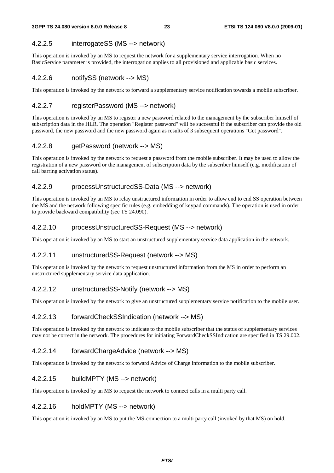#### 4.2.2.5 interrogateSS (MS --> network)

This operation is invoked by an MS to request the network for a supplementary service interrogation. When no BasicService parameter is provided, the interrogation applies to all provisioned and applicable basic services.

#### 4.2.2.6 notifySS (network --> MS)

This operation is invoked by the network to forward a supplementary service notification towards a mobile subscriber.

#### 4.2.2.7 registerPassword (MS --> network)

This operation is invoked by an MS to register a new password related to the management by the subscriber himself of subscription data in the HLR. The operation "Register password" will be successful if the subscriber can provide the old password, the new password and the new password again as results of 3 subsequent operations "Get password".

#### 4.2.2.8 getPassword (network --> MS)

This operation is invoked by the network to request a password from the mobile subscriber. It may be used to allow the registration of a new password or the management of subscription data by the subscriber himself (e.g. modification of call barring activation status).

#### 4.2.2.9 processUnstructuredSS-Data (MS --> network)

This operation is invoked by an MS to relay unstructured information in order to allow end to end SS operation between the MS and the network following specific rules (e.g. embedding of keypad commands). The operation is used in order to provide backward compatibility (see TS 24.090).

#### 4.2.2.10 processUnstructuredSS-Request (MS --> network)

This operation is invoked by an MS to start an unstructured supplementary service data application in the network.

#### 4.2.2.11 unstructuredSS-Request (network --> MS)

This operation is invoked by the network to request unstructured information from the MS in order to perform an unstructured supplementary service data application.

#### 4.2.2.12 unstructuredSS-Notify (network --> MS)

This operation is invoked by the network to give an unstructured supplementary service notification to the mobile user.

#### 4.2.2.13 forwardCheckSSIndication (network --> MS)

This operation is invoked by the network to indicate to the mobile subscriber that the status of supplementary services may not be correct in the network. The procedures for initiating ForwardCheckSSIndication are specified in TS 29.002.

#### 4.2.2.14 forwardChargeAdvice (network --> MS)

This operation is invoked by the network to forward Advice of Charge information to the mobile subscriber.

#### 4.2.2.15 buildMPTY (MS --> network)

This operation is invoked by an MS to request the network to connect calls in a multi party call.

#### 4.2.2.16 holdMPTY (MS --> network)

This operation is invoked by an MS to put the MS-connection to a multi party call (invoked by that MS) on hold.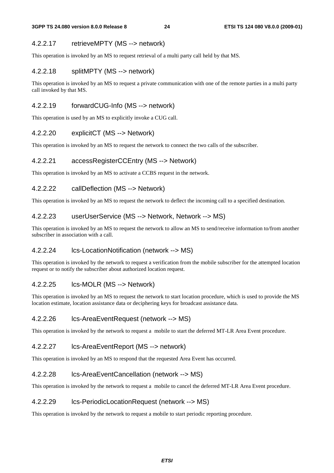#### 4.2.2.17 retrieveMPTY (MS --> network)

This operation is invoked by an MS to request retrieval of a multi party call held by that MS.

#### 4.2.2.18 splitMPTY (MS --> network)

This operation is invoked by an MS to request a private communication with one of the remote parties in a multi party call invoked by that MS.

#### 4.2.2.19 forwardCUG-Info (MS --> network)

This operation is used by an MS to explicitly invoke a CUG call.

#### 4.2.2.20 explicitCT (MS --> Network)

This operation is invoked by an MS to request the network to connect the two calls of the subscriber.

#### 4.2.2.21 accessRegisterCCEntry (MS --> Network)

This operation is invoked by an MS to activate a CCBS request in the network.

#### 4.2.2.22 callDeflection (MS --> Network)

This operation is invoked by an MS to request the network to deflect the incoming call to a specified destination.

#### 4.2.2.23 userUserService (MS --> Network, Network --> MS)

This operation is invoked by an MS to request the network to allow an MS to send/receive information to/from another subscriber in association with a call.

#### 4.2.2.24 lcs-LocationNotification (network --> MS)

This operation is invoked by the network to request a verification from the mobile subscriber for the attempted location request or to notify the subscriber about authorized location request.

#### 4.2.2.25 lcs-MOLR (MS --> Network)

This operation is invoked by an MS to request the network to start location procedure, which is used to provide the MS location estimate, location assistance data or deciphering keys for broadcast assistance data.

#### 4.2.2.26 lcs-AreaEventRequest (network --> MS)

This operation is invoked by the network to request a mobile to start the deferred MT-LR Area Event procedure.

#### 4.2.2.27 lcs-AreaEventReport (MS --> network)

This operation is invoked by an MS to respond that the requested Area Event has occurred.

#### 4.2.2.28 lcs-AreaEventCancellation (network --> MS)

This operation is invoked by the network to request a mobile to cancel the deferred MT-LR Area Event procedure.

#### 4.2.2.29 lcs-PeriodicLocationRequest (network --> MS)

This operation is invoked by the network to request a mobile to start periodic reporting procedure.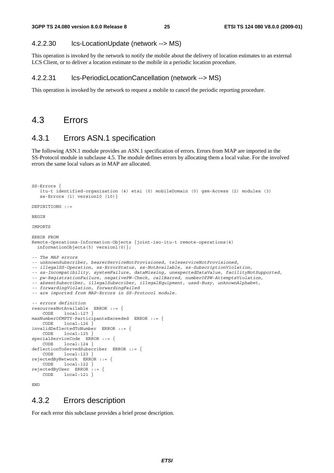#### 4.2.2.30 lcs-LocationUpdate (network --> MS)

This operation is invoked by the network to notify the mobile about the delivery of location estimates to an external LCS Client, or to deliver a location estimate to the mobile in a periodic location procedure.

#### 4.2.2.31 lcs-PeriodicLocationCancellation (network --> MS)

This operation is invoked by the network to request a mobile to cancel the periodic reporting procedure.

#### 4.3 Errors

### 4.3.1 Errors ASN.1 specification

The following ASN.1 module provides an ASN.1 specification of errors. Errors from MAP are imported in the SS-Protocol module in subclause 4.5. The module defines errors by allocating them a local value. For the involved errors the same local values as in MAP are allocated.

```
SS-Errors { 
   itu-t identified-organization (4) etsi (0) mobileDomain (0) gsm-Access (2) modules (3) 
    ss-Errors (1) version10 (10)} 
DEFINITIONS ::= 
BEGIN
IMPORTS 
ERROR FROM 
Remote-Operations-Information-Objects {joint-iso-itu-t remote-operations(4) 
   informationObjects(5) version1(0)}; 
-- The MAP errors 
-- unknownSubscriber, bearerServiceNotProvisioned, teleserviceNotProvisioned, 
-- illegalSS-Operation, ss-ErrorStatus, ss-NotAvailable, ss-SubscriptionViolation, 
-- ss-Incompatibility, systemFailure, dataMissing, unexpectedDataValue, facilityNotSupported, 
-- pw-RegistrationFailure, negativePW-Check, callBarred, numberOfPW-AttemptsViolation, 
-- absentSubscriber, illegalSubscriber, illegalEquipment, ussd-Busy, unknownAlphabet, 
-- forwardingViolation, forwardingFailed 
-- are imported from MAP-Errors in SS-Protocol module. 
-- errors definition 
resourcesNotAvailable ERROR ::= { 
     CODE local:127 } 
maxNumberOfMPTY-ParticipantsExceeded ERROR ::= { 
    CODE local:126 } 
invalidDeflectedToNumber ERROR ::= { 
     CODE local:125 } 
specialServiceCode ERROR ::= { 
     CODE local:124 } 
deflectionToServedSubscriber ERROR ::= { 
     CODE local:123 } 
rejectedByNetwork ERROR ::= { 
     CODE local:122 } 
rejectedByUser ERROR ::= { 
 CODE local:121 }
```
END

#### 4.3.2 Errors description

For each error this subclause provides a brief prose description.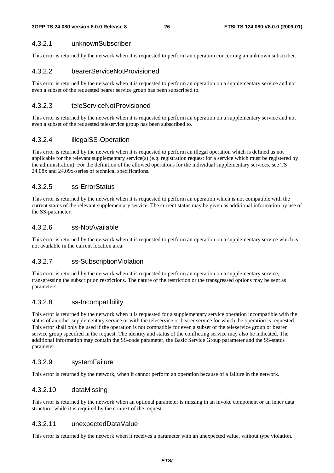#### 4.3.2.1 unknownSubscriber

This error is returned by the network when it is requested to perform an operation concerning an unknown subscriber.

#### 4.3.2.2 bearerServiceNotProvisioned

This error is returned by the network when it is requested to perform an operation on a supplementary service and not even a subset of the requested bearer service group has been subscribed to.

#### 4.3.2.3 teleServiceNotProvisioned

This error is returned by the network when it is requested to perform an operation on a supplementary service and not even a subset of the requested teleservice group has been subscribed to.

#### 4.3.2.4 illegalSS-Operation

This error is returned by the network when it is requested to perform an illegal operation which is defined as not applicable for the relevant supplementary service(s) (e.g. registration request for a service which must be registered by the administration). For the definition of the allowed operations for the individual supplementary services, see TS 24.08x and 24.09x-series of technical specifications.

#### 4.3.2.5 ss-ErrorStatus

This error is returned by the network when it is requested to perform an operation which is not compatible with the current status of the relevant supplementary service. The current status may be given as additional information by use of the SS-parameter.

#### 4.3.2.6 ss-NotAvailable

This error is returned by the network when it is requested to perform an operation on a supplementary service which is not available in the current location area.

#### 4.3.2.7 ss-SubscriptionViolation

This error is returned by the network when it is requested to perform an operation on a supplementary service, transgressing the subscription restrictions. The nature of the restriction or the transgressed options may be sent as parameters.

#### 4.3.2.8 ss-Incompatibility

This error is returned by the network when it is requested for a supplementary service operation incompatible with the status of an other supplementary service or with the teleservice or bearer service for which the operation is requested. This error shall only be used if the operation is not compatible for even a subset of the teleservice group or bearer service group specified in the request. The identity and status of the conflicting service may also be indicated. The additional information may contain the SS-code parameter, the Basic Service Group parameter and the SS-status parameter.

#### 4.3.2.9 systemFailure

This error is returned by the network, when it cannot perform an operation because of a failure in the network.

#### 4.3.2.10 dataMissing

This error is returned by the network when an optional parameter is missing in an invoke component or an inner data structure, while it is required by the context of the request.

#### 4.3.2.11 unexpectedDataValue

This error is returned by the network when it receives a parameter with an unexpected value, without type violation.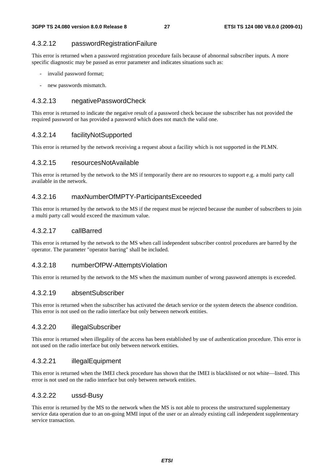#### 4.3.2.12 passwordRegistrationFailure

This error is returned when a password registration procedure fails because of abnormal subscriber inputs. A more specific diagnostic may be passed as error parameter and indicates situations such as:

- invalid password format;
- new passwords mismatch.

#### 4.3.2.13 negativePasswordCheck

This error is returned to indicate the negative result of a password check because the subscriber has not provided the required password or has provided a password which does not match the valid one.

#### 4.3.2.14 facilityNotSupported

This error is returned by the network receiving a request about a facility which is not supported in the PLMN.

#### 4.3.2.15 resourcesNotAvailable

This error is returned by the network to the MS if temporarily there are no resources to support e.g. a multi party call available in the network.

#### 4.3.2.16 maxNumberOfMPTY-ParticipantsExceeded

This error is returned by the network to the MS if the request must be rejected because the number of subscribers to join a multi party call would exceed the maximum value.

#### 4.3.2.17 callBarred

This error is returned by the network to the MS when call independent subscriber control procedures are barred by the operator. The parameter "operator barring" shall be included.

#### 4.3.2.18 numberOfPW-AttemptsViolation

This error is returned by the network to the MS when the maximum number of wrong password attempts is exceeded.

#### 4.3.2.19 absentSubscriber

This error is returned when the subscriber has activated the detach service or the system detects the absence condition. This error is not used on the radio interface but only between network entities.

#### 4.3.2.20 illegalSubscriber

This error is returned when illegality of the access has been established by use of authentication procedure. This error is not used on the radio interface but only between network entities.

#### 4.3.2.21 illegalEquipment

This error is returned when the IMEI check procedure has shown that the IMEI is blacklisted or not white—listed. This error is not used on the radio interface but only between network entities.

#### 4.3.2.22 ussd-Busy

This error is returned by the MS to the network when the MS is not able to process the unstructured supplementary service data operation due to an on-going MMI input of the user or an already existing call independent supplementary service transaction.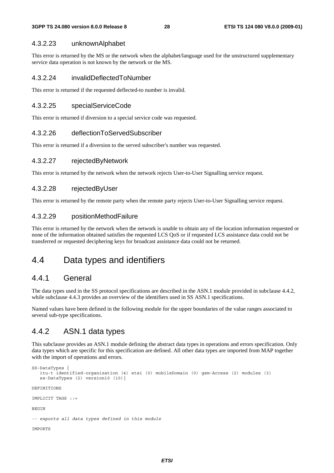#### 4.3.2.23 unknownAlphabet

This error is returned by the MS or the network when the alphabet/language used for the unstructured supplementary service data operation is not known by the network or the MS.

#### 4.3.2.24 invalidDeflectedToNumber

This error is returned if the requested deflected-to number is invalid.

#### 4.3.2.25 specialServiceCode

This error is returned if diversion to a special service code was requested.

#### 4.3.2.26 deflectionToServedSubscriber

This error is returned if a diversion to the served subscriber's number was requested.

#### 4.3.2.27 rejectedByNetwork

This error is returned by the network when the network rejects User-to-User Signalling service request.

#### 4.3.2.28 rejectedByUser

This error is returned by the remote party when the remote party rejects User-to-User Signalling service request.

#### 4.3.2.29 positionMethodFailure

This error is returned by the network when the network is unable to obtain any of the location information requested or none of the information obtained satisfies the requested LCS QoS or if requested LCS assistance data could not be transferred or requested deciphering keys for broadcast assistance data could not be returned.

### 4.4 Data types and identifiers

#### 4.4.1 General

The data types used in the SS protocol specifications are described in the ASN.1 module provided in subclause 4.4.2, while subclause 4.4.3 provides an overview of the identifiers used in SS ASN.1 specifications.

Named values have been defined in the following module for the upper boundaries of the value ranges associated to several sub-type specifications.

#### 4.4.2 ASN.1 data types

This subclause provides an ASN.1 module defining the abstract data types in operations and errors specification. Only data types which are specific for this specification are defined. All other data types are imported from MAP together with the import of operations and errors.

```
SS-DataTypes { 
    itu-t identified-organization (4) etsi (0) mobileDomain (0) gsm-Access (2) modules (3) 
    ss-DataTypes (2) version10 (10)} 
DEFINITIONS 
IMPLICIT TAGS ::= 
BEGIN 
-- exports all data types defined in this module 
IMPORTS
```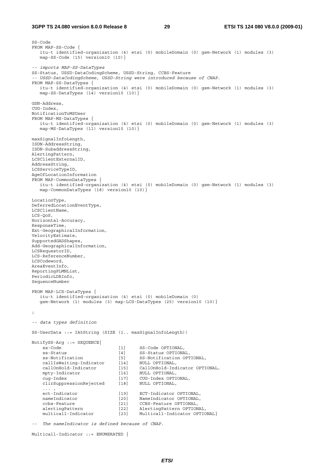#### **3GPP TS 24.080 version 8.0.0 Release 8 29 ETSI TS 124 080 V8.0.0 (2009-01)**

SS-Code FROM MAP-SS-Code { itu-t identified-organization (4) etsi (0) mobileDomain (0) gsm-Network (1) modules (3) map-SS-Code (15) version10 (10)} *-- imports MAP-SS-DataTypes*  SS-Status, USSD-DataCodingScheme, USSD-String, CCBS-Feature *-- USSD-DataCodingScheme, USSD-String were introduced because of CNAP.*  FROM MAP-SS-DataTypes { itu-t identified-organization (4) etsi (0) mobileDomain (0) gsm-Network (1) modules (3) map-SS-DataTypes (14) version10 (10)} GSN-Address, CUG-Index, NotificationToMSUser FROM MAP-MS-DataTypes { itu-t identified-organization (4) etsi (0) mobileDomain (0) gsm-Network (1) modules (3) map-MS-DataTypes (11) version10 (10)} maxSignalInfoLength, ISDN-AddressString, ISDN-SubaddressString, AlertingPattern, LCSClientExternalID, AddressString, LCSServiceTypeID, AgeOfLocationInformation FROM MAP-CommonDataTypes itu-t identified-organization (4) etsi (0) mobileDomain (0) gsm-Network (1) modules (3) map-CommonDataTypes (18) version10 (10)} LocationType, DeferredLocationEventType, LCSClientName, LCS-QoS, Horizontal-Accuracy, ResponseTime, Ext-GeographicalInformation, VelocityEstimate, SupportedGADShapes, Add-GeographicalInformation, LCSRequestorID, LCS-ReferenceNumber, LCSCodeword, AreaEventInfo, ReportingPLMNList, PeriodicLDRInfo, SequenceNumber FROM MAP-LCS-DataTypes { itu-t identified-organization (4) etsi (0) mobileDomain (0) gsm-Network (1) modules (3) map-LCS-DataTypes (25) version10 (10)} ; *-- data types definition*  SS-UserData ::= IA5String (SIZE (1.. maxSignalInfoLength)) NotifySS-Arg ::= SEQUENCE{ ss-Code [1] SS-Code OPTIONAL, ss-Status [4] SS-Status OPTIONAL, ss-Notification [5] SS-Notification OPTIONAL, callIsWaiting-Indicator [14] NULL OPTIONAL, callOnHold-Indicator [15] CallOnHold-Indicator OPTIONAL, mpty-Indicator [16] NULL OPTIONAL, cug-Index [17] CUG-Index OPTIONAL, clirSuppressionRejected [18] NULL OPTIONAL, ... , ect-Indicator [19] ECT-Indicator OPTIONAL, nameIndicator [20] NameIndicator OPTIONAL, ccbs-Feature [21] CCBS-Feature Communications<br>alertingPattern [21] CCBS-Feature OPTIONAL,<br>alertingPattern [22] AlertingPattern OPTION AlertingPattern OPTIONAL, multicall-Indicator [23] Multicall-Indicator OPTIONAL}

*-- The nameIndicator is defined because of CNAP.* 

```
Multicall-Indicator ::= ENUMERATED {
```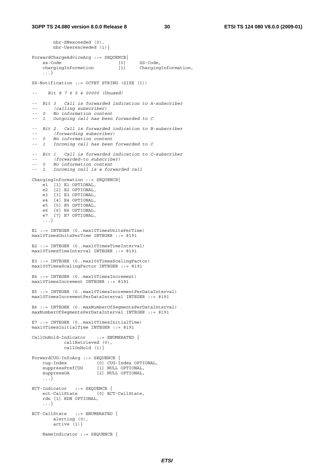nbr-SNexceeded (0),

```
 nbr-Userexceeded (1)} 
ForwardChargeAdviceArg ::= SEQUENCE{ 
    ss-Code [0] SS-Code,<br>chargingInformation [1] Chargino
                                [1] ChargingInformation,
     ...} 
SS-Notification ::= OCTET STRING (SIZE (1)) 
-- Bit 8 7 6 5 4 00000 (Unused) 
-- Bit 3 Call is forwarded indication to A-subscriber 
-- (calling subscriber) 
-- 0 No information content 
-- 1 Outgoing call has been forwarded to C 
-- Bit 2 Call is forwarded indication to B-subscriber 
-- (forwarding subscriber) 
-- 0 No information content 
      -- 1 Incoming call has been forwarded to C 
-- Bit 1 Call is forwarded indication to C-subscriber 
-- (forwarded-to subscriber) 
-- 0 No information content 
-- 1 Incoming call is a forwarded call 
ChargingInformation ::= SEQUENCE{ 
    e1 [1] E1 OPTIONAL, 
 e2 [2] E2 OPTIONAL, 
 e3 [3] E3 OPTIONAL, 
     e4 [4] E4 OPTIONAL, 
 e5 [5] E5 OPTIONAL, 
 e6 [6] E6 OPTIONAL, 
     e7 [7] E7 OPTIONAL, 
     ...} 
E1 ::= INTEGER (0..max10TimesUnitsPerTime) 
max10TimesUnitsPerTime INTEGER ::= 8191 
E2 ::= INTEGER (0..max10TimesTimeInterval)
max10TimesTimeInterval INTEGER ::= 8191 
E3 ::= INTEGER (0..max100TimesScalingFactor) 
max100TimesScalingFactor INTEGER ::= 8191 
E4 ::= INTEGER (0..max10TimesIncrement) 
max10TimesIncrement INTEGER ::= 8191 
E5 ::= INTEGER (0..max10TimesIncrementPerDataInterval)
max10TimesIncrementPerDataInterval INTEGER ::= 8191 
E6 ::= INTEGER (0..maxNumberOfSegmentsPerDataInterval) 
maxNumberOfSegmentsPerDataInterval INTEGER ::= 8191 
E7 ::= INTEGER (0..max10TimesInitialTime) 
max10TimesInitialTime INTEGER ::= 8191 
CallOnHold-Indicator ::= ENUMERATED { 
            callRetrieved (0), 
            callOnHold (1)} 
ForwardCUG-InfoArg ::= SEQUENCE { 
 cug-Index [0] CUG-Index OPTIONAL, 
 suppressPrefCUG [1] NULL OPTIONAL, 
    suppressOA [2] NULL OPTIONAL,
     ...} 
ECT-Indicator ::= SEQUENCE { 
 ect-CallState [0] ECT-CallState, 
     rdn [1] RDN OPTIONAL, 
     ...} 
ECT-CallState ::= ENUMERATED { 
        alerting (0), 
       active(1)}
    NameIndicator ::= SEQUENCE {
```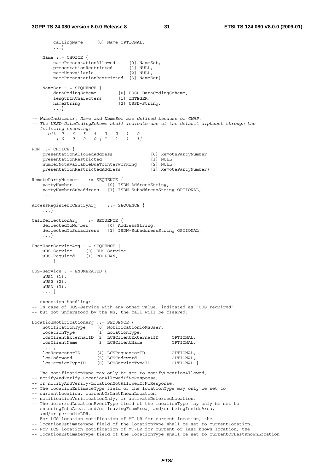callingName [0] Name OPTIONAL, ...} Name  $::=$  CHOICE  $\{$  namePresentationAllowed [0] NameSet, presentationRestricted [1] NULL, nameUnavailable [2] NULL, namePresentationRestricted [3] NameSet} NameSet ::= SEQUENCE { dataCodingScheme [0] USSD-DataCodingScheme, lengthInCharacters [1] INTEGER, nameString [2] USSD-String, ...} *-- NameIndicator, Name and NameSet are defined because of CNAP. -- The USSD-DataCodingScheme shall indicate use of the default alphabet through the -- following encoding: -- bit 7 6 5 4 3 2 1 0 -- | 0 0 0 0 | 1 1 1 1|*  RDN ::= CHOICE { presentationAllowedAddress [0] RemotePartyNumber, presentationRestricted [1] NULL, numberNotAvailableDueToInterworking [2] NULL, presentationRestrictedAddress [3] RemotePartyNumber} RemotePartyNumber ::= SEQUENCE { partyNumber [0] ISDN-AddressString, partyNumberSubaddress [1] ISDN-SubaddressString OPTIONAL, ...} AccessRegisterCCEntryArg ::= SEQUENCE { ...} CallDeflectionArg ::= SEQUENCE { deflectedToNumber [0] AddressString, deflectedToSubaddress [1] ISDN-SubaddressString OPTIONAL, ...} UserUserServiceArg ::= SEQUENCE { uUS-Service [0] UUS-Service, uUS-Required [1] BOOLEAN, ... } UUS-Service ::= ENUMERATED { uUS1 (1), uUS2 (2), uUS3 (3), ... } -- exception handling: -- In case of UUS-Service with any other value, indicated as "UUS required", -- but not understood by the MS, the call will be cleared. LocationNotificationArg ::= SEQUENCE { notificationType [0] NotificationToMSUser, locationType [1] LocationType, lcsClientExternalID [2] LCSClientExternalID OPTIONAL, lcsClientName [3] LCSClientName  $\ldots$  ,  $\ldots$  ,  $\ldots$  lcsRequestorID [4] LCSRequestorID OPTIONAL, lcsCodeword [5] LCSCodeword OPTIONAL, lcsServiceTypeID [6] LCSServiceTypeID OPTIONAL } -- The notificationType may only be set to notifyLocationAllowed, -- notifyAndVerify-LocationAllowedIfNoResponse, -- or notifyAndVerify-LocationNotAllowedIfNoResponse. -- The locationEstimateType field of the locationType may only be set to -- currentLocation, currentOrLastKnownLocation, -- notificationVerificationOnly, or activateDeferredLocation. -- The deferredLocationEventType field of the locationType may only be set to -- enteringIntoArea, and/or leavingFromArea, and/or beingInsideArea, -- and/or periodicLDR. -- For LCS location notification of MT-LR for current location, the -- locationEstimateType field of the locationType shall be set to currentLocation. -- For LCS location notification of MT-LR for current or last known location, the

-- locationEstimateType field of the locationType shall be set to currentOrLastKnownLocation.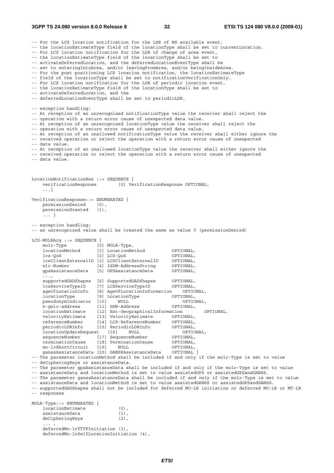**3GPP TS 24.080 version 8.0.0 Release 8 32 ETSI TS 124 080 V8.0.0 (2009-01)**

-- For the LCS location notification for the LDR of MS available event, -- the locationEstimateType field of the locationType shall be set to currentLocation. -- For LCS location notification for the LDR of change of area event, -- the locationEstimateType field of the locationType shall be set to -- activateDeferredLocation, and the deferredLocationEventType shall be -- set to enteringIntoArea, and/or leavingFromArea, and/or beingInsideArea. -- For the post positioning LCS location notification, the locationEstimateType -- field of the locationType shall be set to notificationVerificationOnly. -- For LCS location notification for the LDR of periodic location event, -- the locationEstimateType field of the locationType shall be set to -- activateDeferredLocation, and the -- deferredLocationEventType shall be set to periodicLDR. -- exception handling: -- At reception of an unrecognised notificationType value the receiver shall reject the -- operation with a return error cause of unexpected data value. -- At reception of an unrecognised locationType value the receiver shall reject the -- operation with a return error cause of unexpected data value. -- At reception of an unallowed notificationType value the receiver shall either ignore the -- received operation or reject the operation with a return error cause of unexpected -- data value. -- At reception of an unallowed locationType value the receiver shall either ignore the -- received operation or reject the operation with a return error cause of unexpected -- data value. LocationNotificationRes ::= SEQUENCE { verificationResponse [0] VerificationResponse OPTIONAL, ...} VerificationResponse::= ENUMERATED { permissionDenied (0), permissionGranted (1), ... } -- exception handling: -- an unrecognized value shall be treated the same as value 0 (permissionDenied) LCS-MOLRArg ::= SEQUENCE { molr-Type [0] MOLR-Type,<br>locationMethod [1] LocationMe locationMethod [1] LocationMethod OPTIONAL, lcs-QoS [2] LCS-QoS OPTIONAL, lcsClientExternalID [3] LCSClientExternalID OPTIONAL, mlc-Number [4] ISDN-AddressString OPTIONAL, gpsAssistanceData [5] GPSAssistanceData OPTIONAL, ..., supportedGADShapes [6] SupportedGADShapes OPTIONAL, lcsServiceTypeID [7] LCSServiceTypeID OPTIONAL, ageOfLocationInfo [8] AgeOfLocationInformation OPTIONAL, locationType [9] LocationType  $\qquad \qquad$  OPTIONAL,<br>pseudonymIndicator [10] NULL (OPTIONAL) pseudonymIndicator [10] NULL OPTION<br>
h-cmlc-address [11] GSN-Address OPTIONAL, h-gmlc-address [11] GSN-Address OPTIONAL, locationEstimate [12] Ext-GeographicalInformation OPTIONAL, velocityEstimate [13] VelocityEstimate OPTIONAL, referenceNumber [14] LCS-ReferenceNumber OPTIONAL, periodicLDRInfo [15] PeriodicLDRInfo OPTIONAL, locationUpdateRequest [16] NULL OPTIONAL, sequenceNumber [17] SequenceNumber OPTIONAL, terminationCause [18] TerminationCause OPTIONAL, mo-lrShortCircuit [19] NULL OPTIONAL, ganssAssistanceData [20] GANSSAssistanceData OPTIONAL } -- The parameter locationMethod shall be included if and only if the molr-Type is set to value -- deCipheringKeys or assistanceData. -- The parameter gpsAssistanceData shall be included if and only if the molr-Type is set to value -- assistanceData and locationMethod is set to value assistedGPS or assistedGPSandGANSS. -- The parameter ganssAssistanceData shall be included if and only if the molr-Type is set to value -- assistanceData and locationMethod is set to value assistedGANSS or assistedGPSandGANSS. -- supportedGADShapes shall not be included for deferred MO-LR initiation or deferred MO-LR or MT-LR -- responses MOLR-Type::= ENUMERATED { locationEstimate (0), assistanceData (1), deCipheringKeys (2),  $\ldots$  ,  $\ldots$  ,  $\ldots$  deferredMo-lrTTTPInitiation (3), deferredMo-lrSelfLocationInitiation (4),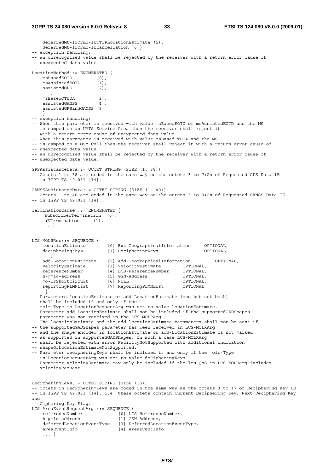deferredMt-lrOrmo-lrTTTPLocationEstimate (5), deferredMt-lrOrmo-lrCancellation (6)} -- exception handling: -- an unrecognized value shall be rejected by the receiver with a return error cause of -- unexpected data value.  $\begin{array}{lll} \texttt{LocationMethod: := & \texttt{ENUMENTED} & \texttt{\{} \\ \texttt{msBasedEOTD} & & \texttt{\{0\}} \texttt{.} \end{array} \end{array}$ msBasedEOTD (0),<br>msAssistedEOTD (1), msAssistedEOTD (1), assistedGPS (2), ..., msBasedOTDOA (3), assistedGANSS (4), assistedGPSandGANSS (5) } -- exception handling: -- When this parameter is received with value msBasedEOTD or msAssistedEOTD and the MS -- is camped on an UMTS Service Area then the receiver shall reject it -- with a return error cause of unexpected data value. -- When this parameter is received with value msBasedOTDOA and the MS -- is camped on a GSM Cell then the receiver shall reject it with a return error cause of -- unexpected data value. -- an unrecognized value shall be rejected by the receiver with a return error cause of -- unexpected data value. GPSAssistanceData::= OCTET STRING (SIZE (1..38)) -- Octets 1 to 38 are coded in the same way as the octets 3 to 7+2n of Requested GPS Data IE -- in 3GPP TS 49.031 [14]. GANSSAssistanceData::= OCTET STRING (SIZE (1..40)) -- Octets 1 to 40 are coded in the same way as the octets 3 to 9+2n of Requested GANSS Data IE -- in 3GPP TS 49.031 [14] . TerminationCause ::= ENUMERATED { subscriberTermination (0), uETermination (1), ...} LCS-MOLRRes::= SEQUENCE {<br>locationEstimate locationEstimate [0] Ext-GeographicalInformation OPTIONAL, decipheringKeys [1] DecipheringKeys OPTIONAL, ..., add-LocationEstimate [2] Add-GeographicalInformation OPTIONAL, velocityEstimate [3] VelocityEstimate OPTIONAL, referenceNumber [4] LCS-ReferenceNumber OPTIONAL, referenceNumber [4] LCS-ReferenceNumber 0PTIONAL,<br>h-gmlc-address [5] GSN-Address 0PTIONAL,<br>mo-1rShortCircuit [6] NULL 0PTIONAL, mo-lrShortCircuit [6] NULL OPTIONAL, reportingPLMNList [7] ReportingPLMNList OPTIONAL } -- Parameters locationEstimate or add-LocationEstimate (one but not both) -- shall be included if and only if the -- molr-Type in LocationRequestArg was set to value locationEstimate. -- Parameter add-LocationEstimate shall not be included if the supportedGADShapes -- parameter was not received in the LCS-MOLRArg. -- The locationEstimate and the add-locationEstimate parameters shall not be sent if -- the supportedGADShapes parameter has been received in LCS-MOLRArg -- and the shape encoded in locationEstimate or add-LocationEstimate is not marked -- as supported in supportedGADShapes. In such a case LCS-MOLRArg -- shall be rejected with error FacilityNotSupported with additional indication -- shapeOfLocationEstimateNotSupported. -- Parameter decipheringKeys shall be included if and only if the molr-Type -- in LocationRequestArg was set to value deCipheringKeys. -- Parameter velocityEstimate may only be included if the lcs-QoS in LCS-MOLRarg includes -- velocityRequest DecipheringKeys::= OCTET STRING (SIZE (15)) -- Octets in DecipheringKeys are coded in the same way as the octets 3 to 17 of Deciphering Key IE -- in 3GPP TS 49.031 [14]. I.e. these octets contain Current Deciphering Key, Next Deciphering Key and -- Ciphering Key Flag. LCS-AreaEventRequestArg ::= SEQUENCE { referenceNumber [0] LCS-ReferenceNumber, h-gmlc-address [1] GSN-Address, deferredLocationEventType [3] DeferredLocationEventType, areaEventInfo [4] AreaEventInfo, ... }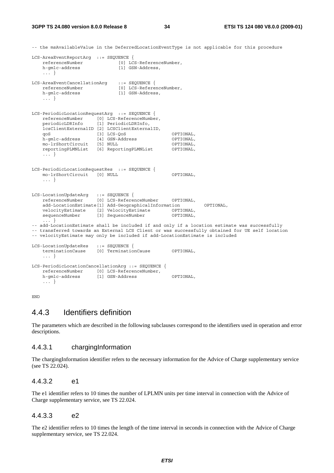-- the msAvailableValue in the DeferredLocationEventType is not applicable for this procedure

```
LCS-AreaEventReportArg ::= SEQUENCE { 
    referenceNumber [0] LCS-ReferenceNumber, 
   h-gmlc-address [1] GSN-Address,
    ... } 
LCS-AreaEventCancellationArg ::= SEQUENCE {
    referenceNumber [0] LCS-ReferenceNumber, 
    h-gmlc-address [1] GSN-Address, 
    ... } 
LCS-PeriodicLocationRequestArg ::= SEQUENCE { 
 referenceNumber [0] LCS-ReferenceNumber, 
 periodicLDRInfo [1] PeriodicLDRInfo, 
    lcsClientExternalID [2] LCSClientExternalID, 
 qoS [3] LCS-QoS OPTIONAL, 
 h-gmlc-address [4] GSN-Address OPTIONAL, 
   mo-lrShortCircuit [5] NULL OPTIONAL,
    reportingPLMNList [6] ReportingPLMNList OPTIONAL, 
    ... } 
LCS-PeriodicLocationRequestRes ::= SEQUENCE { 
    mo-lrShortCircuit [0] NULL OPTIONAL, 
    ... } 
LCS-LocationUpdateArg ::= SEQUENCE { 
 referenceNumber [0] LCS-ReferenceNumber OPTIONAL, 
    add-LocationEstimate[1] Add-GeographicalInformation OPTIONAL, 
 velocityEstimate [2] VelocityEstimate OPTIONAL, 
 sequenceNumber [3] SequenceNumber OPTIONAL, 
       ... } 
-- add-LocationEstimate shall be included if and only if a location estimate was successfully
-- transferred towards an External LCS Client or was successfully obtained for UE self location 
-- velocityEstimate may only be included if add-LocationEstimate is included 
LCS-LocationUpdateRes ::= SEQUENCE { 
 terminationCause [0] TerminationCause OPTIONAL, 
    ... } 
LCS-PeriodicLocationCancellationArg ::= SEQUENCE { 
    referenceNumber [0] LCS-ReferenceNumber, 
    h-gmlc-address [1] GSN-Address OPTIONAL, 
    ... }
```
END

#### 4.4.3 Identifiers definition

The parameters which are described in the following subclauses correspond to the identifiers used in operation and error descriptions.

#### 4.4.3.1 chargingInformation

The chargingInformation identifier refers to the necessary information for the Advice of Charge supplementary service (see TS 22.024).

#### 4.4.3.2 e1

The e1 identifier refers to 10 times the number of LPLMN units per time interval in connection with the Advice of Charge supplementary service, see TS 22.024.

#### 4.4.3.3 e2

The e2 identifier refers to 10 times the length of the time interval in seconds in connection with the Advice of Charge supplementary service, see TS 22.024.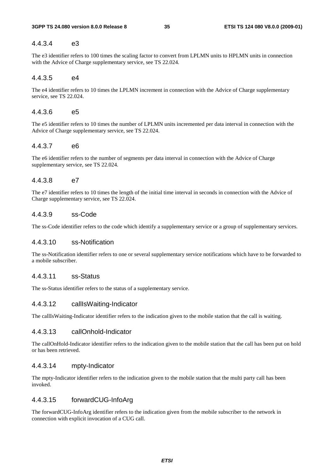#### 4.4.3.4 e3

The e3 identifier refers to 100 times the scaling factor to convert from LPLMN units to HPLMN units in connection with the Advice of Charge supplementary service, see TS 22.024.

#### 4.4.3.5 e4

The e4 identifier refers to 10 times the LPLMN increment in connection with the Advice of Charge supplementary service, see TS 22.024.

#### 4.4.3.6 e5

The e5 identifier refers to 10 times the number of LPLMN units incremented per data interval in connection with the Advice of Charge supplementary service, see TS 22.024.

#### 4.4.3.7 e6

The e6 identifier refers to the number of segments per data interval in connection with the Advice of Charge supplementary service, see TS 22.024.

#### 4.4.3.8 e7

The e7 identifier refers to 10 times the length of the initial time interval in seconds in connection with the Advice of Charge supplementary service, see TS 22.024.

#### 4.4.3.9 ss-Code

The ss-Code identifier refers to the code which identify a supplementary service or a group of supplementary services.

#### 4.4.3.10 ss-Notification

The ss-Notification identifier refers to one or several supplementary service notifications which have to be forwarded to a mobile subscriber.

#### 4.4.3.11 ss-Status

The ss-Status identifier refers to the status of a supplementary service.

#### 4.4.3.12 callIsWaiting-Indicator

The callIsWaiting-Indicator identifier refers to the indication given to the mobile station that the call is waiting.

#### 4.4.3.13 callOnhold-Indicator

The callOnHold-Indicator identifier refers to the indication given to the mobile station that the call has been put on hold or has been retrieved.

#### 4.4.3.14 mpty-Indicator

The mpty-Indicator identifier refers to the indication given to the mobile station that the multi party call has been invoked.

#### 4.4.3.15 forwardCUG-InfoArg

The forwardCUG-InfoArg identifier refers to the indication given from the mobile subscriber to the network in connection with explicit invocation of a CUG call.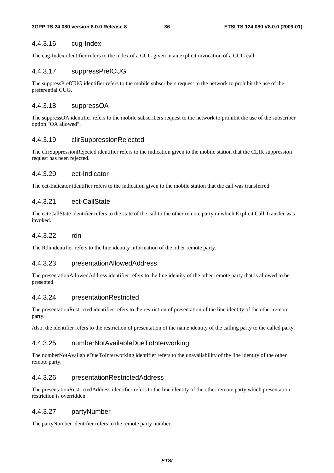#### 4.4.3.16 cug-Index

The cug-Index identifier refers to the index of a CUG given in an explicit invocation of a CUG call.

#### 4.4.3.17 suppressPrefCUG

The suppressPrefCUG identifier refers to the mobile subscribers request to the network to prohibit the use of the preferential CUG.

#### 4.4.3.18 suppressOA

The suppressOA identifier refers to the mobile subscribers request to the network to prohibit the use of the subscriber option "OA allowed".

#### 4.4.3.19 clirSuppressionRejected

The clirSuppressionRejected identifier refers to the indication given to the mobile station that the CLIR suppression request has been rejected.

#### 4.4.3.20 ect-Indicator

The ect-Indicator identifier refers to the indication given to the mobile station that the call was transferred.

#### 4.4.3.21 ect-CallState

The ect-CallState identifier refers to the state of the call to the other remote party in which Explicit Call Transfer was invoked.

#### 4.4.3.22 rdn

The Rdn identifier refers to the line identity information of the other remote party.

#### 4.4.3.23 presentationAllowedAddress

The presentationAllowedAddress identifier refers to the line identity of the other remote party that is allowed to be presented.

#### 4.4.3.24 presentationRestricted

The presentationRestricted identifier refers to the restriction of presentation of the line identity of the other remote party.

Also, the identifier refers to the restriction of presentation of the name identity of the calling party to the called party.

#### 4.4.3.25 numberNotAvailableDueToInterworking

The numberNotAvailableDueToInterworking identifier refers to the unavailability of the line identity of the other remote party.

#### 4.4.3.26 presentationRestrictedAddress

The presentationRestrictedAddress identifier refers to the line identity of the other remote party which presentation restriction is overridden.

#### 4.4.3.27 partyNumber

The partyNumber identifier refers to the remote party number.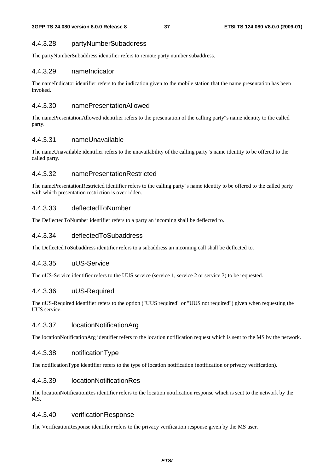#### 4.4.3.28 partyNumberSubaddress

The partyNumberSubaddress identifier refers to remote party number subaddress.

#### 4.4.3.29 nameIndicator

The nameIndicator identifier refers to the indication given to the mobile station that the name presentation has been invoked.

#### 4.4.3.30 namePresentationAllowed

The namePresentationAllowed identifier refers to the presentation of the calling party"s name identity to the called party.

#### 4.4.3.31 nameUnavailable

The nameUnavailable identifier refers to the unavailability of the calling party"s name identity to be offered to the called party.

#### 4.4.3.32 namePresentationRestricted

The namePresentationRestricted identifier refers to the calling party"s name identity to be offered to the called party with which presentation restriction is overridden.

#### 4.4.3.33 deflectedToNumber

The DeflectedToNumber identifier refers to a party an incoming shall be deflected to.

#### 4.4.3.34 deflectedToSubaddress

The DeflectedToSubaddress identifier refers to a subaddress an incoming call shall be deflected to.

#### 4.4.3.35 uUS-Service

The uUS-Service identifier refers to the UUS service (service 1, service 2 or service 3) to be requested.

#### 4.4.3.36 uUS-Required

The uUS-Required identifier refers to the option ("UUS required" or "UUS not required") given when requesting the UUS service.

#### 4.4.3.37 locationNotificationArg

The locationNotificationArg identifier refers to the location notification request which is sent to the MS by the network.

#### 4.4.3.38 notificationType

The notificationType identifier refers to the type of location notification (notification or privacy verification).

#### 4.4.3.39 locationNotificationRes

The locationNotificationRes identifier refers to the location notification response which is sent to the network by the MS.

#### 4.4.3.40 verificationResponse

The VerificationResponse identifier refers to the privacy verification response given by the MS user.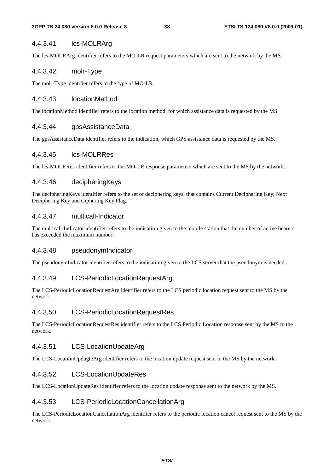#### 4.4.3.41 lcs-MOLRArg

The lcs-MOLRArg identifier refers to the MO-LR request parameters which are sent to the network by the MS.

#### 4.4.3.42 molr-Type

The molr-Type identifier refers to the type of MO-LR.

#### 4.4.3.43 locationMethod

The locationMethod identifier refers to the location method, for which assistance data is requested by the MS.

#### 4.4.3.44 gpsAssistanceData

The gpsAssistanceData identifier refers to the indication, which GPS assistance data is requested by the MS.

#### 4.4.3.45 lcs-MOLRRes

The lcs-MOLRRes identifier refers to the MO-LR response parameters which are sent to the MS by the network.

#### 4.4.3.46 decipheringKeys

The decipheringKeys identifier refers to the set of deciphering keys, that contains Current Deciphering Key, Next Deciphering Key and Ciphering Key Flag.

#### 4.4.3.47 multicall-Indicator

The multicall-Indicator identifier refers to the indication given to the mobile station that the number of active bearers has exceeded the maximum number.

#### 4.4.3.48 pseudonymIndicator

The pseudonymIndicator identifier refers to the indication given to the LCS server that the pseudonym is needed.

#### 4.4.3.49 LCS-PeriodicLocationRequestArg

The LCS-PeriodicLocationRequestArg identifier refers to the LCS periodic location request sent to the MS by the network.

#### 4.4.3.50 LCS-PeriodicLocationRequestRes

The LCS-PeriodicLocationRequestRes identifier refers to the LCS Periodic Location response sent by the MS to the network.

#### 4.4.3.51 LCS-LocationUpdateArg

The LCS-LocationUpdagteArg identifier refers to the location update request sent to the MS by the network.

#### 4.4.3.52 LCS-LocationUpdateRes

The LCS-LocationUpdateRes identifier refers to the location update response sent to the network by the MS.

#### 4.4.3.53 LCS-PeriodicLocationCancellationArg

The LCS-PeriodicLocationCancellationArg identifier refers to the periodic location cancel request sent to the MS by the network.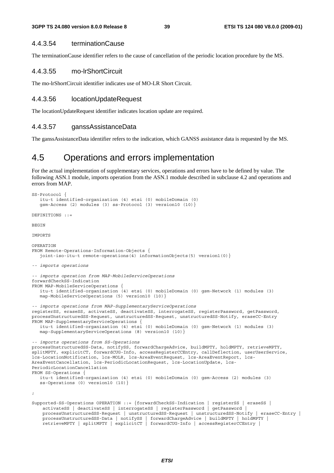#### 4.4.3.54 terminationCause

The terminationCause identifier refers to the cause of cancellation of the periodic location procedure by the MS.

#### 4.4.3.55 mo-lrShortCircuit

The mo-lrShortCircuit identifier indicates use of MO-LR Short Circuit.

#### 4.4.3.56 locationUpdateRequest

The locationUpdateRequest identifier indicates location update are required.

#### 4.4.3.57 ganssAssistanceData

The ganssAssistanceData identifier refers to the indication, which GANSS assistance data is requested by the MS.

### 4.5 Operations and errors implementation

For the actual implementation of supplementary services, operations and errors have to be defined by value. The following ASN.1 module, imports operation from the ASN.1 module described in subclause 4.2 and operations and errors from MAP.

```
SS-Protocol { 
    itu-t identified-organization (4) etsi (0) mobileDomain (0) 
    gsm-Access (2) modules (3) ss-Protocol (3) version10 (10)} 
DEFINITIONS ::= 
BEGIN
IMPORTS 
OPERATION 
FROM Remote-Operations-Information-Objects { 
   joint-iso-itu-t remote-operations(4) informationObjects(5) version1(0)}
-- imports operations 
-- imports operation from MAP-MobileServiceOperations 
forwardCheckSS-Indication 
FROM MAP-MobileServiceOperations { 
    itu-t identified-organization (4) etsi (0) mobileDomain (0) gsm-Network (1) modules (3) 
    map-MobileServiceOperations (5) version10 (10)} 
-- imports operations from MAP-SupplementaryServiceOperations 
registerSS, eraseSS, activateSS, deactivateSS, interrogateSS, registerPassword, getPassword, 
processUnstructuredSS-Request, unstructuredSS-Request, unstructuredSS-Notify, eraseCC-Entry 
FROM MAP-SupplementaryServiceOperations { 
    itu-t identified-organization (4) etsi (0) mobileDomain (0) gsm-Network (1) modules (3) 
    map-SupplementaryServiceOperations (8) version10 (10)} 
-- imports operations from SS-Operations 
processUnstructuredSS-Data, notifySS, forwardChargeAdvice, buildMPTY, holdMPTY, retrieveMPTY, 
splitMPTY, explicitCT, forwardCUG-Info, accessRegisterCCEntry, callDeflection, userUserService, 
lcs-LocationNotification, lcs-MOLR, lcs-AreaEventRequest, lcs-AreaEventReport, lcs-
AreaEventCancellation, lcs-PeriodicLocationRequest, lcs-LocationUpdate, lcs-
PeriodicLocationCancellation 
FROM SS-Operations { 
    itu-t identified-organization (4) etsi (0) mobileDomain (0) gsm-Access (2) modules (3) 
    ss-Operations (0) version10 (10)} 
; 
Supported-SS-Operations OPERATION ::= {forwardCheckSS-Indication | registerSS | eraseSS | 
     activateSS | deactivateSS | interrogateSS | registerPassword | getPassword | 
     processUnstructuredSS-Request | unstructuredSS-Request | unstructuredSS-Notify | eraseCC-Entry | 
     processUnstructuredSS-Data | notifySS | forwardChargeAdvice | buildMPTY | holdMPTY | 
     retrieveMPTY | splitMPTY | explicitCT | forwardCUG-Info | accessRegisterCCEntry |
```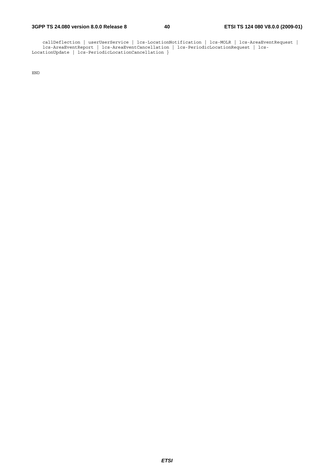callDeflection | userUserService | lcs-LocationNotification | lcs-MOLR | lcs-AreaEventRequest | lcs-AreaEventReport | lcs-AreaEventCancellation | lcs-PeriodicLocationRequest | lcs-LocationUpdate | lcs-PeriodicLocationCancellation }

END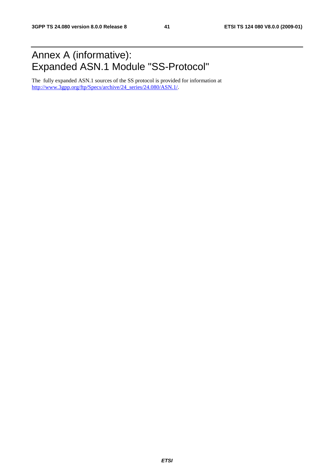### Annex A (informative): Expanded ASN.1 Module "SS-Protocol"

The fully expanded ASN.1 sources of the SS protocol is provided for information at http://www.3gpp.org/ftp/Specs/archive/24\_series/24.080/ASN.1/.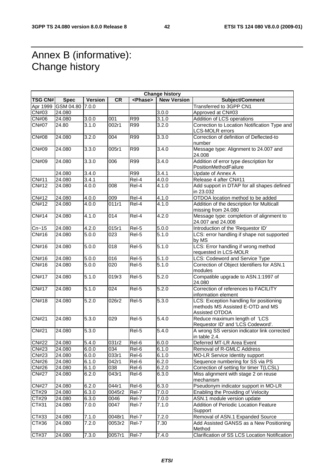### Annex B (informative): Change history

| <b>Change history</b> |                    |                |                  |                     |                    |                                                                                               |
|-----------------------|--------------------|----------------|------------------|---------------------|--------------------|-----------------------------------------------------------------------------------------------|
| <b>TSG CN#</b>        | <b>Spec</b>        | <b>Version</b> | CR               | <phase></phase>     | <b>New Version</b> | Subject/Comment                                                                               |
|                       | Apr 1999 GSM 04.80 | 7.0.0          |                  |                     |                    | Transferred to 3GPP CN1                                                                       |
| <b>CN#03</b>          | 24.080             |                |                  |                     | 3.0.0              | Approved at CN#03                                                                             |
| <b>CN#06</b>          | 24.080             | 3.0.0          | 001              | R99                 | 3.1.0              | Addition of LCS operations                                                                    |
| <b>CN#07</b>          | 24.80              | 3.1.0          | 002r1            | R99                 | 3.2.0              | Correction to Location Notification Type and<br><b>LCS-MOLR errors</b>                        |
| <b>CN#08</b>          | 24.080             | 3.2.0          | 004              | <b>R99</b>          | 3.3.0              | Correction of definition of Deflected-to<br>number                                            |
| CN#09                 | 24.080             | 3.3.0          | 005r1            | R99                 | 3.4.0              | Message type: Alignment to 24.007 and<br>24.008                                               |
| CN#09                 | 24.080             | 3.3.0          | 006              | <b>R99</b>          | 3.4.0              | Addition of error type description for<br>PositionMethodFailure                               |
|                       | 24.080             | 3.4.0          |                  | R99                 | 3.4.1              | Update of Annex A                                                                             |
| CN#11                 | 24.080             | 3.4.1          |                  | Rel-4               | 4.0.0              | Release 4 after CN#11                                                                         |
| <b>CN#12</b>          | 24.080             | 4.0.0          | 008              | $\overline{ReI}$ -4 | 4.1.0              | Add support in DTAP for all shapes defined<br>in 23.032                                       |
| CN#12                 | 24.080             | 4.0.0          | 009              | Rel-4               | 4.1.0              | OTDOA location method to be added                                                             |
| CN#12                 | 24.080             | 4.0.0          | 011r1            | Rel-4               | 4.1.0              | Addition of the description for Multicall<br>missing from 24.080                              |
| <b>CN#14</b>          | 24.080             | 4.1.0          | 014              | Rel-4               | 4.2.0              | Message type: completion of alignment to<br>24.007 and 24.008                                 |
| $Cn-15$               | 24.080             | 4.2.0          | 015r1            | Rel-5               | 5.0.0              | Introduction of the 'Requestor ID'                                                            |
| CN#16                 | 24.080             | 5.0.0          | 023              | Rel-5               | 5.1.0              | LCS: error handling if shape not supported<br>by MS                                           |
| CN#16                 | 24.080             | 5.0.0          | $\overline{018}$ | Rel-5               | $\frac{1}{5.1.0}$  | LCS: Error handling if wrong method<br>requested in LCS-MOLR                                  |
| <b>CN#16</b>          | 24.080             | 5.0.0          | 016              | Rel-5               | 5.1.0              | LCS: Codeword and Service Type                                                                |
| CN#16                 | 24.080             | 5.0.0          | 020              | Rel-5               | 5.1.0              | Correction of Object Identifiers for ASN.1<br>modules                                         |
| <b>CN#17</b>          | 24.080             | 5.1.0          | 019r3            | Rel-5               | 5.2.0              | Compatible upgrade to ASN.1:1997 of<br>24.080                                                 |
| <b>CN#17</b>          | 24.080             | 5.1.0          | 024              | Rel-5               | 5.2.0              | Correction of references to FACILITY<br>information element                                   |
| <b>CN#18</b>          | 24.080             | 5.2.0          | 026r2            | Rel-5               | 5.3.0              | LCS: Exception handling for positioning<br>methods MS Assisted E-OTD and MS<br>Assisted OTDOA |
| CN#21                 | 24.080             | 5.3.0          | 029              | Rel-5               | 5.4.0              | Reduce maximum length of 'LCS<br>Requestor ID' and 'LCS Codeword'.                            |
| CN#21                 | 24.080             | 5.3.0          |                  | Rel-5               | 5.4.0              | A wrong SS version indicator link corrected<br>in table 2.4.                                  |
| <b>CN#22</b>          | 24.080             | 5.4.0          | 031r2            | Rel-6               | 6.0.0              | Deferred MT-LR Area Event                                                                     |
| CN#23                 | 24.080             | 6.0.0          | 034              | Rel-6               | 6.1.0              | Removal of R-GMLC Address                                                                     |
| CN#23                 | 24.080             | 6.0.0          | 033r1            | Rel-6               | 6.1.0              | MO-LR Service Identity support                                                                |
| CN#26                 | 24.080             | 6.1.0          | 042r1            | Rel-6               | 6.2.0              | Sequence numbering for SS via PS                                                              |
| CN#26                 | 24.080             | 6.1.0          | 038              | Rel-6               | 6.2.0              | Correction of setting for timer T(LCSL)                                                       |
| <b>CN#27</b>          | 24.080             | 6.2.0          | 043r1            | Rel-6               | 6.3.0              | Miss alignment with stage 2 on reuse<br>mechanism                                             |
| <b>CN#27</b>          | 24.080             | 6.2.0          | 044r1            | Rel-6               | 6.3.0              | Pseudonym indicator support in MO-LR                                                          |
| CT#29                 | 24.080             | 6.3.0          | 0045r2           | Rel-7               | 7.0.0              | Enabling the Providing of Velocity                                                            |
| CT#29                 | 24.080             | 6.3.0          | 0046             | Rel-7               | 7.0.0              | ASN.1 module version update                                                                   |
| CT#31                 | 24.080             | 7.0.0          | 0047             | Rel-7               | 7.1.0              | Addition of Periodic Location Feature<br>Support                                              |
| CT#33                 | 24.080             | 7.1.0          | 0048r1           | Rel-7               | 7.2.0              | Removal of ASN.1 Expanded Source                                                              |
| CT#36                 | 24.080             | 7.2.0          | 0053r2           | Rel-7               | 7.30               | Add Assisted GANSS as a New Positioning<br>Method                                             |
| CT#37                 | 24.080             | 7.3.0          | 0057r1           | Rel-7               | 7.4.0              | Clarification of SS LCS Location Notification                                                 |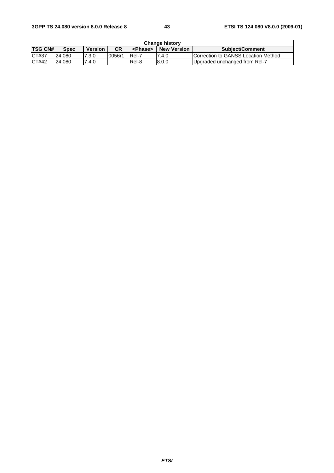#### **3GPP TS 24.080 version 8.0.0 Release 8 43 ETSI TS 124 080 V8.0.0 (2009-01)**

| <b>Change history</b> |        |                |           |                 |                    |                                     |  |
|-----------------------|--------|----------------|-----------|-----------------|--------------------|-------------------------------------|--|
| <b>TSG CN#</b>        | Spec   | <b>Version</b> | <b>CR</b> | <phase></phase> | <b>New Version</b> | <b>Subject/Comment</b>              |  |
| CT#37                 | 24.080 | 7.3.0          | 0056r1    | Rel-7           | 7.4.0              | Correction to GANSS Location Method |  |
| CT#42                 | 24.080 | 7.4.0          |           | Rel-8           | 8.0.0              | Upgraded unchanged from Rel-7       |  |